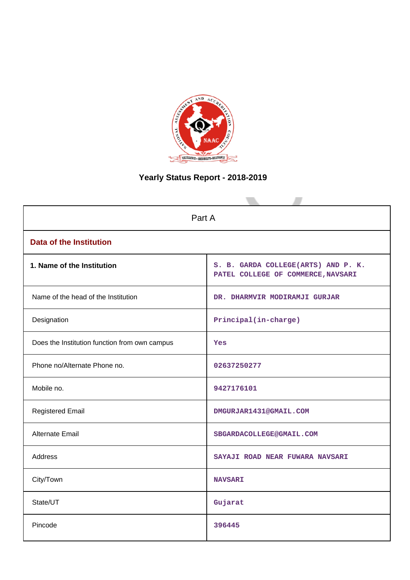

# **Yearly Status Report - 2018-2019**

| Part A                                        |                                                                           |  |  |  |  |
|-----------------------------------------------|---------------------------------------------------------------------------|--|--|--|--|
| <b>Data of the Institution</b>                |                                                                           |  |  |  |  |
| 1. Name of the Institution                    | S. B. GARDA COLLEGE(ARTS) AND P. K.<br>PATEL COLLEGE OF COMMERCE, NAVSARI |  |  |  |  |
| Name of the head of the Institution           | DR. DHARMVIR MODIRAMJI GURJAR                                             |  |  |  |  |
| Designation                                   | Principal(in-charge)                                                      |  |  |  |  |
| Does the Institution function from own campus | Yes                                                                       |  |  |  |  |
| Phone no/Alternate Phone no.                  | 02637250277                                                               |  |  |  |  |
| Mobile no.                                    | 9427176101                                                                |  |  |  |  |
| <b>Registered Email</b>                       | DMGURJAR1431@GMAIL.COM                                                    |  |  |  |  |
| Alternate Email                               | SBGARDACOLLEGE@GMAIL.COM                                                  |  |  |  |  |
| <b>Address</b>                                | SAYAJI ROAD NEAR FUWARA NAVSARI                                           |  |  |  |  |
| City/Town                                     | <b>NAVSARI</b>                                                            |  |  |  |  |
| State/UT                                      | Gujarat                                                                   |  |  |  |  |
| Pincode                                       | 396445                                                                    |  |  |  |  |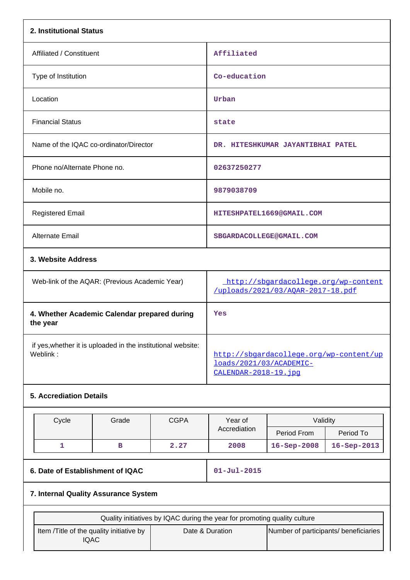| 2. Institutional Status                                                  |                                                                           |             |                                                                                             |                                   |             |  |  |
|--------------------------------------------------------------------------|---------------------------------------------------------------------------|-------------|---------------------------------------------------------------------------------------------|-----------------------------------|-------------|--|--|
| Affiliated / Constituent                                                 |                                                                           |             | Affiliated                                                                                  |                                   |             |  |  |
| Type of Institution                                                      |                                                                           |             | Co-education                                                                                |                                   |             |  |  |
| Location                                                                 |                                                                           |             | Urban                                                                                       |                                   |             |  |  |
| <b>Financial Status</b>                                                  |                                                                           |             | state                                                                                       |                                   |             |  |  |
| Name of the IQAC co-ordinator/Director                                   |                                                                           |             |                                                                                             | DR. HITESHKUMAR JAYANTIBHAI PATEL |             |  |  |
| Phone no/Alternate Phone no.                                             |                                                                           |             | 02637250277                                                                                 |                                   |             |  |  |
| Mobile no.                                                               |                                                                           |             | 9879038709                                                                                  |                                   |             |  |  |
| <b>Registered Email</b>                                                  |                                                                           |             |                                                                                             | HITESHPATEL1669@GMAIL.COM         |             |  |  |
| Alternate Email                                                          |                                                                           |             | SBGARDACOLLEGE@GMAIL.COM                                                                    |                                   |             |  |  |
|                                                                          | 3. Website Address                                                        |             |                                                                                             |                                   |             |  |  |
| Web-link of the AQAR: (Previous Academic Year)                           |                                                                           |             | http://sbgardacollege.org/wp-content<br>/uploads/2021/03/AQAR-2017-18.pdf                   |                                   |             |  |  |
| 4. Whether Academic Calendar prepared during<br>the year                 |                                                                           |             | Yes                                                                                         |                                   |             |  |  |
| if yes, whether it is uploaded in the institutional website:<br>Weblink: |                                                                           |             | http://sbgardacollege.org/wp-content/up<br>loads/2021/03/ACADEMIC-<br>CALENDAR-2018-19. jpq |                                   |             |  |  |
| <b>5. Accrediation Details</b>                                           |                                                                           |             |                                                                                             |                                   |             |  |  |
| Cycle                                                                    | Grade                                                                     | <b>CGPA</b> | Year of                                                                                     | Validity                          |             |  |  |
|                                                                          |                                                                           |             | Accrediation                                                                                | Period From                       | Period To   |  |  |
| $\mathbf{1}$                                                             | в                                                                         | 2.27        | 2008                                                                                        | 16-Sep-2008                       | 16-Sep-2013 |  |  |
| 6. Date of Establishment of IQAC                                         |                                                                           |             | $01 - Jul - 2015$                                                                           |                                   |             |  |  |
| 7. Internal Quality Assurance System                                     |                                                                           |             |                                                                                             |                                   |             |  |  |
|                                                                          | Quality initiatives by IQAC during the year for promoting quality culture |             |                                                                                             |                                   |             |  |  |

Date & Duration Number of participants/ beneficiaries

Item /Title of the quality initiative by IQAC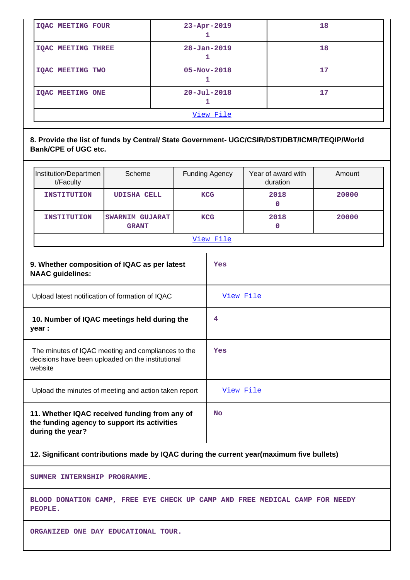| <b>IOAC MEETING TWO</b> | $05 - Nov - 2018$ | 17 |
|-------------------------|-------------------|----|
| <b>IQAC MEETING ONE</b> | $20 - Ju1 - 2018$ | 17 |

### **8. Provide the list of funds by Central/ State Government- UGC/CSIR/DST/DBT/ICMR/TEQIP/World Bank/CPE of UGC etc.**

| Institution/Departmen<br>t/Faculty<br><b>INSTITUTION</b>                                                           | Scheme<br><b>UDISHA CELL</b>                    |  | <b>Funding Agency</b><br><b>KCG</b> | Year of award with<br>duration<br>2018<br>$\mathbf{0}$ | Amount<br>20000 |  |
|--------------------------------------------------------------------------------------------------------------------|-------------------------------------------------|--|-------------------------------------|--------------------------------------------------------|-----------------|--|
| <b>INSTITUTION</b>                                                                                                 | <b>SWARNIM GUJARAT</b><br><b>GRANT</b>          |  | <b>KCG</b><br>View File             | 2018<br>0                                              | 20000           |  |
| <b>NAAC</b> guidelines:                                                                                            | 9. Whether composition of IQAC as per latest    |  | Yes                                 |                                                        |                 |  |
|                                                                                                                    | Upload latest notification of formation of IQAC |  | View File                           |                                                        |                 |  |
| 10. Number of IQAC meetings held during the<br>year :                                                              |                                                 |  | 4                                   |                                                        |                 |  |
| The minutes of IQAC meeting and compliances to the<br>decisions have been uploaded on the institutional<br>website |                                                 |  | Yes                                 |                                                        |                 |  |
| Upload the minutes of meeting and action taken report                                                              |                                                 |  | View File                           |                                                        |                 |  |
| 11. Whether IQAC received funding from any of<br>the funding agency to support its activities<br>during the year?  |                                                 |  | No                                  |                                                        |                 |  |

# **12. Significant contributions made by IQAC during the current year(maximum five bullets)**

**SUMMER INTERNSHIP PROGRAMME.**

**BLOOD DONATION CAMP, FREE EYE CHECK UP CAMP AND FREE MEDICAL CAMP FOR NEEDY PEOPLE.**

**ORGANIZED ONE DAY EDUCATIONAL TOUR.**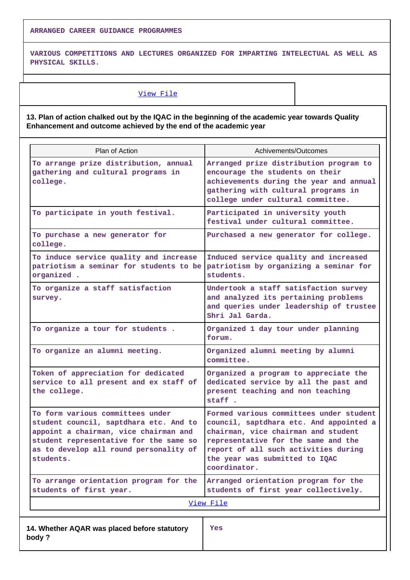**ARRANGED CAREER GUIDANCE PROGRAMMES**

**VARIOUS COMPETITIONS AND LECTURES ORGANIZED FOR IMPARTING INTELECTUAL AS WELL AS PHYSICAL SKILLS.**

#### [View File](https://assessmentonline.naac.gov.in/public/Postacc/Contribution/10371_Contribution.xlsx)

**13. Plan of action chalked out by the IQAC in the beginning of the academic year towards Quality Enhancement and outcome achieved by the end of the academic year**

| Plan of Action                                                                                                                                                                                                       | Achivements/Outcomes                                                                                                                                                                                                                                       |  |  |  |
|----------------------------------------------------------------------------------------------------------------------------------------------------------------------------------------------------------------------|------------------------------------------------------------------------------------------------------------------------------------------------------------------------------------------------------------------------------------------------------------|--|--|--|
| To arrange prize distribution, annual<br>gathering and cultural programs in<br>college.                                                                                                                              | Arranged prize distribution program to<br>encourage the students on their<br>achievements during the year and annual<br>gathering with cultural programs in<br>college under cultural committee.                                                           |  |  |  |
| To participate in youth festival.                                                                                                                                                                                    | Participated in university youth<br>festival under cultural committee.                                                                                                                                                                                     |  |  |  |
| To purchase a new generator for<br>college.                                                                                                                                                                          | Purchased a new generator for college.                                                                                                                                                                                                                     |  |  |  |
| To induce service quality and increase<br>patriotism a seminar for students to be<br>organized .                                                                                                                     | Induced service quality and increased<br>patriotism by organizing a seminar for<br>students.                                                                                                                                                               |  |  |  |
| To organize a staff satisfaction<br>survey.                                                                                                                                                                          | Undertook a staff satisfaction survey<br>and analyzed its pertaining problems<br>and queries under leadership of trustee<br>Shri Jal Garda.                                                                                                                |  |  |  |
| To organize a tour for students.                                                                                                                                                                                     | Organized 1 day tour under planning<br>forum.                                                                                                                                                                                                              |  |  |  |
| To organize an alumni meeting.                                                                                                                                                                                       | Organized alumni meeting by alumni<br>committee.                                                                                                                                                                                                           |  |  |  |
| Token of appreciation for dedicated<br>service to all present and ex staff of<br>the college.                                                                                                                        | Organized a program to appreciate the<br>dedicated service by all the past and<br>present teaching and non teaching<br>staff.                                                                                                                              |  |  |  |
| To form various committees under<br>student council, saptdhara etc. And to<br>appoint a chairman, vice chairman and<br>student representative for the same so<br>as to develop all round personality of<br>students. | Formed various committees under student<br>council, saptdhara etc. And appointed a<br>chairman, vice chairman and student<br>representative for the same and the<br>report of all such activities during<br>the year was submitted to IQAC<br>coordinator. |  |  |  |
| To arrange orientation program for the<br>students of first year.                                                                                                                                                    | Arranged orientation program for the<br>students of first year collectively.                                                                                                                                                                               |  |  |  |
|                                                                                                                                                                                                                      | View File                                                                                                                                                                                                                                                  |  |  |  |
| 14. Whether AQAR was placed before statutory<br>body ?                                                                                                                                                               | Yes                                                                                                                                                                                                                                                        |  |  |  |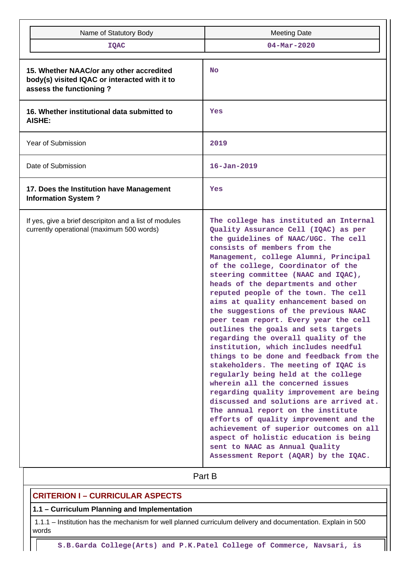| Name of Statutory Body                                                                                               | <b>Meeting Date</b>                                                                                                                                                                                                                                                                                                                                                                                                                                                                                                                                                                                                                                                                                                                                                                                                                                                                                                                                                                                                                                                                                          |  |  |  |  |
|----------------------------------------------------------------------------------------------------------------------|--------------------------------------------------------------------------------------------------------------------------------------------------------------------------------------------------------------------------------------------------------------------------------------------------------------------------------------------------------------------------------------------------------------------------------------------------------------------------------------------------------------------------------------------------------------------------------------------------------------------------------------------------------------------------------------------------------------------------------------------------------------------------------------------------------------------------------------------------------------------------------------------------------------------------------------------------------------------------------------------------------------------------------------------------------------------------------------------------------------|--|--|--|--|
| <b>IQAC</b>                                                                                                          | $04 - Mar - 2020$                                                                                                                                                                                                                                                                                                                                                                                                                                                                                                                                                                                                                                                                                                                                                                                                                                                                                                                                                                                                                                                                                            |  |  |  |  |
| 15. Whether NAAC/or any other accredited<br>body(s) visited IQAC or interacted with it to<br>assess the functioning? | <b>No</b>                                                                                                                                                                                                                                                                                                                                                                                                                                                                                                                                                                                                                                                                                                                                                                                                                                                                                                                                                                                                                                                                                                    |  |  |  |  |
| 16. Whether institutional data submitted to<br>AISHE:                                                                | Yes                                                                                                                                                                                                                                                                                                                                                                                                                                                                                                                                                                                                                                                                                                                                                                                                                                                                                                                                                                                                                                                                                                          |  |  |  |  |
| Year of Submission                                                                                                   | 2019                                                                                                                                                                                                                                                                                                                                                                                                                                                                                                                                                                                                                                                                                                                                                                                                                                                                                                                                                                                                                                                                                                         |  |  |  |  |
| Date of Submission                                                                                                   | $16 - Jan - 2019$                                                                                                                                                                                                                                                                                                                                                                                                                                                                                                                                                                                                                                                                                                                                                                                                                                                                                                                                                                                                                                                                                            |  |  |  |  |
| 17. Does the Institution have Management<br><b>Information System?</b>                                               | Yes                                                                                                                                                                                                                                                                                                                                                                                                                                                                                                                                                                                                                                                                                                                                                                                                                                                                                                                                                                                                                                                                                                          |  |  |  |  |
| If yes, give a brief descripiton and a list of modules<br>currently operational (maximum 500 words)                  | The college has instituted an Internal<br>Quality Assurance Cell (IQAC) as per<br>the guidelines of NAAC/UGC. The cell<br>consists of members from the<br>Management, college Alumni, Principal<br>of the college, Coordinator of the<br>steering committee (NAAC and IQAC),<br>heads of the departments and other<br>reputed people of the town. The cell<br>aims at quality enhancement based on<br>the suggestions of the previous NAAC<br>peer team report. Every year the cell<br>outlines the goals and sets targets<br>regarding the overall quality of the<br>institution, which includes needful<br>things to be done and feedback from the<br>stakeholders. The meeting of IQAC is<br>regularly being held at the college<br>wherein all the concerned issues<br>regarding quality improvement are being<br>discussed and solutions are arrived at.<br>The annual report on the institute<br>efforts of quality improvement and the<br>achievement of superior outcomes on all<br>aspect of holistic education is being<br>sent to NAAC as Annual Quality<br>Assessment Report (AQAR) by the IQAC. |  |  |  |  |
|                                                                                                                      | Part B                                                                                                                                                                                                                                                                                                                                                                                                                                                                                                                                                                                                                                                                                                                                                                                                                                                                                                                                                                                                                                                                                                       |  |  |  |  |

# **CRITERION I – CURRICULAR ASPECTS**

# **1.1 – Curriculum Planning and Implementation**

 1.1.1 – Institution has the mechanism for well planned curriculum delivery and documentation. Explain in 500 words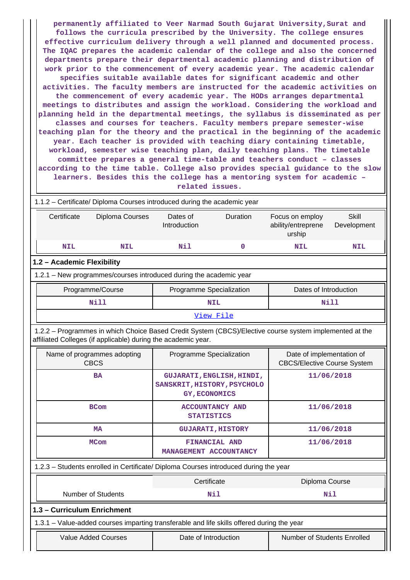**permanently affiliated to Veer Narmad South Gujarat University,Surat and follows the curricula prescribed by the University. The college ensures effective curriculum delivery through a well planned and documented process. The IQAC prepares the academic calendar of the college and also the concerned departments prepare their departmental academic planning and distribution of work prior to the commencement of every academic year. The academic calendar specifies suitable available dates for significant academic and other activities. The faculty members are instructed for the academic activities on the commencement of every academic year. The HODs arranges departmental meetings to distributes and assign the workload. Considering the workload and planning held in the departmental meetings, the syllabus is disseminated as per classes and courses for teachers. Faculty members prepare semester-wise teaching plan for the theory and the practical in the beginning of the academic year. Each teacher is provided with teaching diary containing timetable, workload, semester wise teaching plan, daily teaching plans. The timetable committee prepares a general time-table and teachers conduct – classes according to the time table. College also provides special guidance to the slow learners. Besides this the college has a mentoring system for academic – related issues.**

 1.1.2 – Certificate/ Diploma Courses introduced during the academic year Certificate Diploma Courses Dates of Introduction Duration Focus on employ ability/entreprene urship **Skill** Development  **NIL NIL Nil 0 NIL NIL 1.2 – Academic Flexibility** 1.2.1 – New programmes/courses introduced during the academic year Programme/Course **Programme Specialization** | Dates of Introduction  **Nill NIL Nill**

[View File](https://assessmentonline.naac.gov.in/public/Postacc/Program_introduced/10371_Program_introduced_1619062243.xlsx)

 1.2.2 – Programmes in which Choice Based Credit System (CBCS)/Elective course system implemented at the affiliated Colleges (if applicable) during the academic year.

| Name of programmes adopting<br><b>CBCS</b>                                                 | Programme Specialization                                                         | Date of implementation of<br><b>CBCS/Elective Course System</b> |  |  |  |  |  |
|--------------------------------------------------------------------------------------------|----------------------------------------------------------------------------------|-----------------------------------------------------------------|--|--|--|--|--|
| <b>BA</b>                                                                                  | GUJARATI, ENGLISH, HINDI,<br>SANSKRIT, HISTORY, PSYCHOLO<br><b>GY, ECONOMICS</b> | 11/06/2018                                                      |  |  |  |  |  |
| <b>BCom</b>                                                                                | <b>ACCOUNTANCY AND</b><br><b>STATISTICS</b>                                      | 11/06/2018                                                      |  |  |  |  |  |
| <b>MA</b>                                                                                  | <b>GUJARATI, HISTORY</b>                                                         | 11/06/2018                                                      |  |  |  |  |  |
| <b>MCom</b>                                                                                | FINANCIAL AND<br>MANAGEMENT ACCOUNTANCY                                          | 11/06/2018                                                      |  |  |  |  |  |
| 1.2.3 – Students enrolled in Certificate/ Diploma Courses introduced during the year       |                                                                                  |                                                                 |  |  |  |  |  |
|                                                                                            | Certificate                                                                      | Diploma Course                                                  |  |  |  |  |  |
| <b>Number of Students</b>                                                                  | Nil                                                                              | Nil                                                             |  |  |  |  |  |
| 1.3 - Curriculum Enrichment                                                                |                                                                                  |                                                                 |  |  |  |  |  |
| 1.3.1 – Value-added courses imparting transferable and life skills offered during the year |                                                                                  |                                                                 |  |  |  |  |  |
| <b>Value Added Courses</b>                                                                 | Date of Introduction                                                             | <b>Number of Students Enrolled</b>                              |  |  |  |  |  |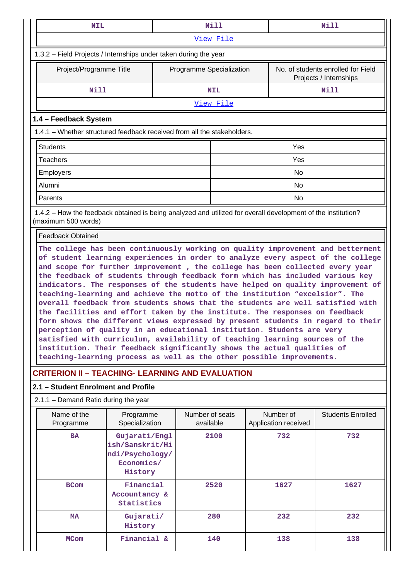| <b>NIL</b>                                                                                                                          |                                                                                                                                                                                                                                                                                                                                                                                                                                                                                                                                                                                                                                                                                                                                                                                                                                                                                                  |                          | Nill<br>Nill                 |  |                                   |                                                              |  |  |  |  |
|-------------------------------------------------------------------------------------------------------------------------------------|--------------------------------------------------------------------------------------------------------------------------------------------------------------------------------------------------------------------------------------------------------------------------------------------------------------------------------------------------------------------------------------------------------------------------------------------------------------------------------------------------------------------------------------------------------------------------------------------------------------------------------------------------------------------------------------------------------------------------------------------------------------------------------------------------------------------------------------------------------------------------------------------------|--------------------------|------------------------------|--|-----------------------------------|--------------------------------------------------------------|--|--|--|--|
|                                                                                                                                     |                                                                                                                                                                                                                                                                                                                                                                                                                                                                                                                                                                                                                                                                                                                                                                                                                                                                                                  |                          | View File                    |  |                                   |                                                              |  |  |  |  |
| 1.3.2 - Field Projects / Internships under taken during the year                                                                    |                                                                                                                                                                                                                                                                                                                                                                                                                                                                                                                                                                                                                                                                                                                                                                                                                                                                                                  |                          |                              |  |                                   |                                                              |  |  |  |  |
| Project/Programme Title                                                                                                             |                                                                                                                                                                                                                                                                                                                                                                                                                                                                                                                                                                                                                                                                                                                                                                                                                                                                                                  | Programme Specialization |                              |  |                                   | No. of students enrolled for Field<br>Projects / Internships |  |  |  |  |
| <b>Nill</b>                                                                                                                         |                                                                                                                                                                                                                                                                                                                                                                                                                                                                                                                                                                                                                                                                                                                                                                                                                                                                                                  |                          | <b>NIL</b>                   |  |                                   | <b>Nill</b>                                                  |  |  |  |  |
|                                                                                                                                     |                                                                                                                                                                                                                                                                                                                                                                                                                                                                                                                                                                                                                                                                                                                                                                                                                                                                                                  |                          | View File                    |  |                                   |                                                              |  |  |  |  |
| 1.4 - Feedback System                                                                                                               |                                                                                                                                                                                                                                                                                                                                                                                                                                                                                                                                                                                                                                                                                                                                                                                                                                                                                                  |                          |                              |  |                                   |                                                              |  |  |  |  |
| 1.4.1 – Whether structured feedback received from all the stakeholders.                                                             |                                                                                                                                                                                                                                                                                                                                                                                                                                                                                                                                                                                                                                                                                                                                                                                                                                                                                                  |                          |                              |  |                                   |                                                              |  |  |  |  |
| <b>Students</b>                                                                                                                     | Yes                                                                                                                                                                                                                                                                                                                                                                                                                                                                                                                                                                                                                                                                                                                                                                                                                                                                                              |                          |                              |  |                                   |                                                              |  |  |  |  |
| <b>Teachers</b>                                                                                                                     |                                                                                                                                                                                                                                                                                                                                                                                                                                                                                                                                                                                                                                                                                                                                                                                                                                                                                                  |                          |                              |  | Yes                               |                                                              |  |  |  |  |
| Employers                                                                                                                           |                                                                                                                                                                                                                                                                                                                                                                                                                                                                                                                                                                                                                                                                                                                                                                                                                                                                                                  |                          |                              |  | No                                |                                                              |  |  |  |  |
| Alumni                                                                                                                              |                                                                                                                                                                                                                                                                                                                                                                                                                                                                                                                                                                                                                                                                                                                                                                                                                                                                                                  |                          |                              |  | No                                |                                                              |  |  |  |  |
| Parents                                                                                                                             |                                                                                                                                                                                                                                                                                                                                                                                                                                                                                                                                                                                                                                                                                                                                                                                                                                                                                                  |                          |                              |  | No.                               |                                                              |  |  |  |  |
| 1.4.2 – How the feedback obtained is being analyzed and utilized for overall development of the institution?<br>(maximum 500 words) |                                                                                                                                                                                                                                                                                                                                                                                                                                                                                                                                                                                                                                                                                                                                                                                                                                                                                                  |                          |                              |  |                                   |                                                              |  |  |  |  |
| <b>Feedback Obtained</b>                                                                                                            |                                                                                                                                                                                                                                                                                                                                                                                                                                                                                                                                                                                                                                                                                                                                                                                                                                                                                                  |                          |                              |  |                                   |                                                              |  |  |  |  |
|                                                                                                                                     | and scope for further improvement, the college has been collected every year<br>the feedback of students through feedback form which has included various key<br>indicators. The responses of the students have helped on quality improvement of<br>teaching-learning and achieve the motto of the institution "excelsior". The<br>overall feedback from students shows that the students are well satisfied with<br>the facilities and effort taken by the institute. The responses on feedback<br>form shows the different views expressed by present students in regard to their<br>perception of quality in an educational institution. Students are very<br>satisfied with curriculum, availability of teaching learning sources of the<br>institution. Their feedback significantly shows the actual qualities of<br>teaching-learning process as well as the other possible improvements. |                          |                              |  |                                   |                                                              |  |  |  |  |
| <b>CRITERION II - TEACHING- LEARNING AND EVALUATION</b>                                                                             |                                                                                                                                                                                                                                                                                                                                                                                                                                                                                                                                                                                                                                                                                                                                                                                                                                                                                                  |                          |                              |  |                                   |                                                              |  |  |  |  |
| 2.1 - Student Enrolment and Profile                                                                                                 |                                                                                                                                                                                                                                                                                                                                                                                                                                                                                                                                                                                                                                                                                                                                                                                                                                                                                                  |                          |                              |  |                                   |                                                              |  |  |  |  |
| $2.1.1 -$ Demand Ratio during the year                                                                                              |                                                                                                                                                                                                                                                                                                                                                                                                                                                                                                                                                                                                                                                                                                                                                                                                                                                                                                  |                          |                              |  |                                   |                                                              |  |  |  |  |
| Name of the<br>Programme                                                                                                            | Programme<br>Specialization                                                                                                                                                                                                                                                                                                                                                                                                                                                                                                                                                                                                                                                                                                                                                                                                                                                                      |                          | Number of seats<br>available |  | Number of<br>Application received | <b>Students Enrolled</b>                                     |  |  |  |  |
| <b>BA</b><br>Gujarati/Engl<br>2100<br>732<br>732<br>ish/Sanskrit/Hi<br>ndi/Psychology/<br>Economics/<br>History                     |                                                                                                                                                                                                                                                                                                                                                                                                                                                                                                                                                                                                                                                                                                                                                                                                                                                                                                  |                          |                              |  |                                   |                                                              |  |  |  |  |
| <b>BCom</b>                                                                                                                         | Financial<br>Accountancy &<br>Statistics                                                                                                                                                                                                                                                                                                                                                                                                                                                                                                                                                                                                                                                                                                                                                                                                                                                         |                          | 2520                         |  | 1627                              | 1627                                                         |  |  |  |  |
| <b>MA</b>                                                                                                                           | Gujarati/<br>History                                                                                                                                                                                                                                                                                                                                                                                                                                                                                                                                                                                                                                                                                                                                                                                                                                                                             |                          | 280                          |  | 232                               | 232                                                          |  |  |  |  |
| <b>MCom</b>                                                                                                                         | Financial &                                                                                                                                                                                                                                                                                                                                                                                                                                                                                                                                                                                                                                                                                                                                                                                                                                                                                      |                          | 140                          |  | 138                               | 138                                                          |  |  |  |  |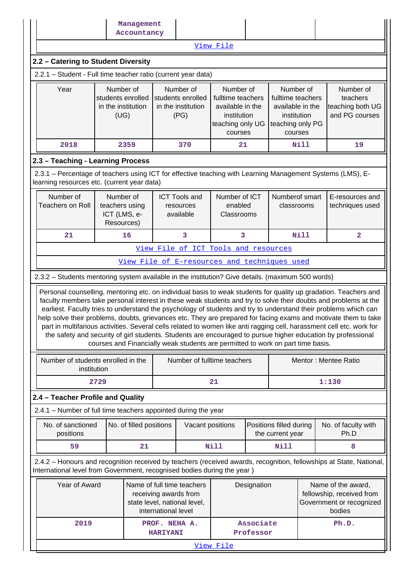|                                                                                                                                                                                                                                                                                                                                                    |                                                                                                                             | Management<br>Accountancy |                                  |                                                                                 |                                                                                                  |                        |                                                                                                  |                                                                                       |                                                                                                                                                                                                                                                                                                                                                              |  |
|----------------------------------------------------------------------------------------------------------------------------------------------------------------------------------------------------------------------------------------------------------------------------------------------------------------------------------------------------|-----------------------------------------------------------------------------------------------------------------------------|---------------------------|----------------------------------|---------------------------------------------------------------------------------|--------------------------------------------------------------------------------------------------|------------------------|--------------------------------------------------------------------------------------------------|---------------------------------------------------------------------------------------|--------------------------------------------------------------------------------------------------------------------------------------------------------------------------------------------------------------------------------------------------------------------------------------------------------------------------------------------------------------|--|
|                                                                                                                                                                                                                                                                                                                                                    |                                                                                                                             |                           |                                  |                                                                                 | View File                                                                                        |                        |                                                                                                  |                                                                                       |                                                                                                                                                                                                                                                                                                                                                              |  |
| 2.2 - Catering to Student Diversity                                                                                                                                                                                                                                                                                                                |                                                                                                                             |                           |                                  |                                                                                 |                                                                                                  |                        |                                                                                                  |                                                                                       |                                                                                                                                                                                                                                                                                                                                                              |  |
| 2.2.1 - Student - Full time teacher ratio (current year data)                                                                                                                                                                                                                                                                                      |                                                                                                                             |                           |                                  |                                                                                 |                                                                                                  |                        |                                                                                                  |                                                                                       |                                                                                                                                                                                                                                                                                                                                                              |  |
| Year                                                                                                                                                                                                                                                                                                                                               | Number of<br>students enrolled<br>in the institution<br>(UG)                                                                |                           |                                  | Number of<br>students enrolled<br>in the institution<br>(PG)                    | Number of<br>fulltime teachers<br>available in the<br>institution<br>teaching only UG<br>courses |                        | Number of<br>fulltime teachers<br>available in the<br>institution<br>teaching only PG<br>courses |                                                                                       | Number of<br>teachers<br>teaching both UG<br>and PG courses                                                                                                                                                                                                                                                                                                  |  |
| 2018                                                                                                                                                                                                                                                                                                                                               |                                                                                                                             | 2359                      |                                  | 370                                                                             | 21                                                                                               |                        |                                                                                                  | Nill                                                                                  | 19                                                                                                                                                                                                                                                                                                                                                           |  |
| 2.3 - Teaching - Learning Process                                                                                                                                                                                                                                                                                                                  |                                                                                                                             |                           |                                  |                                                                                 |                                                                                                  |                        |                                                                                                  |                                                                                       |                                                                                                                                                                                                                                                                                                                                                              |  |
| 2.3.1 – Percentage of teachers using ICT for effective teaching with Learning Management Systems (LMS), E-<br>learning resources etc. (current year data)                                                                                                                                                                                          |                                                                                                                             |                           |                                  |                                                                                 |                                                                                                  |                        |                                                                                                  |                                                                                       |                                                                                                                                                                                                                                                                                                                                                              |  |
| Number of<br><b>Teachers on Roll</b>                                                                                                                                                                                                                                                                                                               | Number of<br>teachers using<br>ICT (LMS, e-<br>Resources)                                                                   |                           |                                  | <b>ICT Tools and</b><br>resources<br>available                                  | Number of ICT<br>enabled<br>Classrooms                                                           |                        | Numberof smart<br>classrooms                                                                     |                                                                                       | E-resources and<br>techniques used                                                                                                                                                                                                                                                                                                                           |  |
| 21                                                                                                                                                                                                                                                                                                                                                 |                                                                                                                             | 16                        |                                  | 3                                                                               | 3                                                                                                |                        |                                                                                                  | <b>Nill</b>                                                                           | $\overline{\mathbf{2}}$                                                                                                                                                                                                                                                                                                                                      |  |
|                                                                                                                                                                                                                                                                                                                                                    |                                                                                                                             |                           |                                  | View File of ICT Tools and resources                                            |                                                                                                  |                        |                                                                                                  |                                                                                       |                                                                                                                                                                                                                                                                                                                                                              |  |
|                                                                                                                                                                                                                                                                                                                                                    |                                                                                                                             |                           |                                  | View File of E-resources and techniques used                                    |                                                                                                  |                        |                                                                                                  |                                                                                       |                                                                                                                                                                                                                                                                                                                                                              |  |
| 2.3.2 - Students mentoring system available in the institution? Give details. (maximum 500 words)                                                                                                                                                                                                                                                  |                                                                                                                             |                           |                                  |                                                                                 |                                                                                                  |                        |                                                                                                  |                                                                                       |                                                                                                                                                                                                                                                                                                                                                              |  |
| faculty members take personal interest in these weak students and try to solve their doubts and problems at the<br>earliest. Faculty tries to understand the psychology of students and try to understand their problems which can<br>the safety and security of girl students. Students are encouraged to pursue higher education by professional |                                                                                                                             |                           |                                  | courses and Financially weak students are permitted to work on part time basis. |                                                                                                  |                        |                                                                                                  |                                                                                       | Personal counselling, mentoring etc. on individual basis to weak students for quality up gradation. Teachers and<br>help solve their problems, doubts, grievances etc. They are prepared for facing exams and motivate them to take<br>part in multifarious activities. Several cells related to women like anti ragging cell, harassment cell etc. work for |  |
| Number of students enrolled in the<br>institution                                                                                                                                                                                                                                                                                                  |                                                                                                                             |                           |                                  | Number of fulltime teachers                                                     |                                                                                                  |                        |                                                                                                  |                                                                                       | Mentor: Mentee Ratio                                                                                                                                                                                                                                                                                                                                         |  |
|                                                                                                                                                                                                                                                                                                                                                    | 2729                                                                                                                        |                           |                                  |                                                                                 | 21                                                                                               |                        |                                                                                                  |                                                                                       | 1:130                                                                                                                                                                                                                                                                                                                                                        |  |
| 2.4 - Teacher Profile and Quality                                                                                                                                                                                                                                                                                                                  |                                                                                                                             |                           |                                  |                                                                                 |                                                                                                  |                        |                                                                                                  |                                                                                       |                                                                                                                                                                                                                                                                                                                                                              |  |
| 2.4.1 - Number of full time teachers appointed during the year                                                                                                                                                                                                                                                                                     |                                                                                                                             |                           |                                  |                                                                                 |                                                                                                  |                        |                                                                                                  |                                                                                       |                                                                                                                                                                                                                                                                                                                                                              |  |
| No. of sanctioned<br>positions                                                                                                                                                                                                                                                                                                                     |                                                                                                                             | No. of filled positions   |                                  | Vacant positions                                                                |                                                                                                  |                        | Positions filled during<br>the current year                                                      |                                                                                       | No. of faculty with<br>Ph.D                                                                                                                                                                                                                                                                                                                                  |  |
| 59                                                                                                                                                                                                                                                                                                                                                 |                                                                                                                             | 21                        |                                  |                                                                                 | Nill                                                                                             |                        | <b>Nill</b>                                                                                      |                                                                                       | 8                                                                                                                                                                                                                                                                                                                                                            |  |
| 2.4.2 - Honours and recognition received by teachers (received awards, recognition, fellowships at State, National,<br>International level from Government, recognised bodies during the year)                                                                                                                                                     |                                                                                                                             |                           |                                  |                                                                                 |                                                                                                  |                        |                                                                                                  |                                                                                       |                                                                                                                                                                                                                                                                                                                                                              |  |
|                                                                                                                                                                                                                                                                                                                                                    | Year of Award<br>Name of full time teachers<br>receiving awards from<br>state level, national level,<br>international level |                           |                                  | Designation                                                                     |                                                                                                  |                        |                                                                                                  | Name of the award,<br>fellowship, received from<br>Government or recognized<br>bodies |                                                                                                                                                                                                                                                                                                                                                              |  |
| 2019                                                                                                                                                                                                                                                                                                                                               |                                                                                                                             |                           | PROF. NEHA A.<br><b>HARIYANI</b> |                                                                                 |                                                                                                  | Associate<br>Professor |                                                                                                  |                                                                                       | Ph.D.                                                                                                                                                                                                                                                                                                                                                        |  |
|                                                                                                                                                                                                                                                                                                                                                    |                                                                                                                             |                           |                                  |                                                                                 | View File                                                                                        |                        |                                                                                                  |                                                                                       |                                                                                                                                                                                                                                                                                                                                                              |  |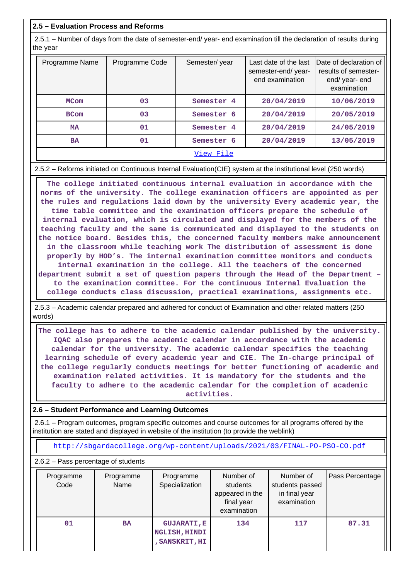### **2.5 – Evaluation Process and Reforms**

 2.5.1 – Number of days from the date of semester-end/ year- end examination till the declaration of results during the year

| Programme Name | Programme Code | Semester/year         | Last date of the last<br>semester-end/year-<br>end examination | Date of declaration of<br>results of semester-<br>end/year-end<br>examination |
|----------------|----------------|-----------------------|----------------------------------------------------------------|-------------------------------------------------------------------------------|
| <b>MCom</b>    | 03             | Semester 4            | 20/04/2019                                                     | 10/06/2019                                                                    |
| <b>BCom</b>    | 03             | Semester 6            | 20/04/2019                                                     | 20/05/2019                                                                    |
| <b>MA</b>      | 01             | Semester <sub>4</sub> | 20/04/2019                                                     | 24/05/2019                                                                    |
| <b>BA</b>      | 01             | Semester 6            | 20/04/2019                                                     | 13/05/2019                                                                    |
|                |                | View File             |                                                                |                                                                               |

#### 2.5.2 – Reforms initiated on Continuous Internal Evaluation(CIE) system at the institutional level (250 words)

 **The college initiated continuous internal evaluation in accordance with the norms of the university. The college examination officers are appointed as per the rules and regulations laid down by the university Every academic year, the time table committee and the examination officers prepare the schedule of internal evaluation, which is circulated and displayed for the members of the teaching faculty and the same is communicated and displayed to the students on the notice board. Besides this, the concerned faculty members make announcement in the classroom while teaching work The distribution of assessment is done properly by HOD's. The internal examination committee monitors and conducts internal examination in the college. All the teachers of the concerned department submit a set of question papers through the Head of the Department – to the examination committee. For the continuous Internal Evaluation the college conducts class discussion, practical examinations, assignments etc.**

 2.5.3 – Academic calendar prepared and adhered for conduct of Examination and other related matters (250 words)

 **The college has to adhere to the academic calendar published by the university. IQAC also prepares the academic calendar in accordance with the academic calendar for the university. The academic calendar specifics the teaching learning schedule of every academic year and CIE. The In-charge principal of the college regularly conducts meetings for better functioning of academic and examination related activities. It is mandatory for the students and the faculty to adhere to the academic calendar for the completion of academic activities.**

#### **2.6 – Student Performance and Learning Outcomes**

 2.6.1 – Program outcomes, program specific outcomes and course outcomes for all programs offered by the institution are stated and displayed in website of the institution (to provide the weblink)

<http://sbgardacollege.org/wp-content/uploads/2021/03/FINAL-PO-PSO-CO.pdf>

2.6.2 – Pass percentage of students

| Programme<br>Code | Programme<br>Name | Programme<br>Specialization                                  | Number of<br>students<br>appeared in the<br>final year<br>examination | Number of<br>students passed<br>in final year<br>examination | Pass Percentage |
|-------------------|-------------------|--------------------------------------------------------------|-----------------------------------------------------------------------|--------------------------------------------------------------|-----------------|
| 01                | <b>BA</b>         | <b>GUJARATI, E</b><br><b>NGLISH, HINDI</b><br>, SANSKRIT, HI | 134                                                                   | 117                                                          | 87.31           |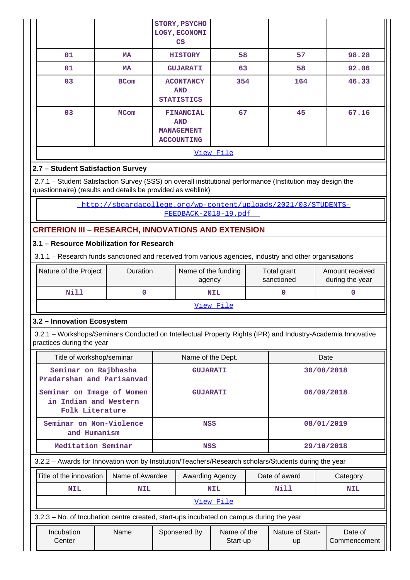|                                                                                                                                                                           |                                                                |                                                                                | STORY, PSYCHO<br>LOGY, ECONOMI<br>$\mathbf{CS}$     |                         |                           |                        |                                    |                         |
|---------------------------------------------------------------------------------------------------------------------------------------------------------------------------|----------------------------------------------------------------|--------------------------------------------------------------------------------|-----------------------------------------------------|-------------------------|---------------------------|------------------------|------------------------------------|-------------------------|
| 01                                                                                                                                                                        | <b>MA</b>                                                      |                                                                                | <b>HISTORY</b>                                      | 58                      |                           | 57                     |                                    | 98.28                   |
| 01                                                                                                                                                                        | <b>MA</b>                                                      |                                                                                | <b>GUJARATI</b>                                     | 63                      |                           | 58                     |                                    | 92.06                   |
| 03                                                                                                                                                                        | <b>BCom</b>                                                    |                                                                                | <b>ACONTANCY</b><br><b>AND</b><br><b>STATISTICS</b> | 354                     |                           | 164                    | 46.33                              |                         |
| 03                                                                                                                                                                        | <b>MCom</b>                                                    | 67<br><b>FINANCIAL</b><br><b>AND</b><br><b>MANAGEMENT</b><br><b>ACCOUNTING</b> |                                                     | 45                      |                           | 67.16                  |                                    |                         |
|                                                                                                                                                                           |                                                                |                                                                                |                                                     | View File               |                           |                        |                                    |                         |
| 2.7 - Student Satisfaction Survey                                                                                                                                         |                                                                |                                                                                |                                                     |                         |                           |                        |                                    |                         |
| 2.7.1 - Student Satisfaction Survey (SSS) on overall institutional performance (Institution may design the<br>questionnaire) (results and details be provided as weblink) |                                                                |                                                                                |                                                     |                         |                           |                        |                                    |                         |
|                                                                                                                                                                           | http://sbgardacollege.org/wp-content/uploads/2021/03/STUDENTS- |                                                                                |                                                     | FEEDBACK-2018-19.pdf    |                           |                        |                                    |                         |
| <b>CRITERION III - RESEARCH, INNOVATIONS AND EXTENSION</b>                                                                                                                |                                                                |                                                                                |                                                     |                         |                           |                        |                                    |                         |
| 3.1 - Resource Mobilization for Research                                                                                                                                  |                                                                |                                                                                |                                                     |                         |                           |                        |                                    |                         |
| 3.1.1 - Research funds sanctioned and received from various agencies, industry and other organisations                                                                    |                                                                |                                                                                |                                                     |                         |                           |                        |                                    |                         |
| Nature of the Project                                                                                                                                                     | Duration                                                       | Name of the funding<br>agency                                                  |                                                     |                         | Total grant<br>sanctioned |                        | Amount received<br>during the year |                         |
| <b>Nill</b>                                                                                                                                                               | 0                                                              |                                                                                | <b>NIL</b>                                          |                         | $\mathbf 0$               |                        | 0                                  |                         |
|                                                                                                                                                                           |                                                                |                                                                                |                                                     | View File               |                           |                        |                                    |                         |
| 3.2 - Innovation Ecosystem                                                                                                                                                |                                                                |                                                                                |                                                     |                         |                           |                        |                                    |                         |
| 3.2.1 - Workshops/Seminars Conducted on Intellectual Property Rights (IPR) and Industry-Academia Innovative<br>practices during the year                                  |                                                                |                                                                                |                                                     |                         |                           |                        |                                    |                         |
| Title of workshop/seminar                                                                                                                                                 |                                                                |                                                                                | Name of the Dept.                                   |                         |                           |                        | Date                               |                         |
| Seminar on Rajbhasha<br>Pradarshan and Parisanvad                                                                                                                         |                                                                |                                                                                | <b>GUJARATI</b>                                     |                         |                           |                        | 30/08/2018                         |                         |
| Seminar on Image of Women<br>in Indian and Western<br>Folk Literature                                                                                                     |                                                                |                                                                                | <b>GUJARATI</b>                                     |                         |                           |                        | 06/09/2018                         |                         |
| Seminar on Non-Violence<br>and Humanism                                                                                                                                   |                                                                |                                                                                | <b>NSS</b>                                          |                         |                           |                        | 08/01/2019                         |                         |
| Meditation Seminar                                                                                                                                                        |                                                                |                                                                                | <b>NSS</b>                                          |                         |                           |                        | 29/10/2018                         |                         |
| 3.2.2 - Awards for Innovation won by Institution/Teachers/Research scholars/Students during the year                                                                      |                                                                |                                                                                |                                                     |                         |                           |                        |                                    |                         |
| Title of the innovation                                                                                                                                                   | Name of Awardee                                                |                                                                                | Awarding Agency                                     |                         |                           | Date of award          |                                    | Category                |
| <b>NIL</b>                                                                                                                                                                | NIL                                                            |                                                                                |                                                     | <b>NIL</b>              |                           | Nill                   |                                    | NIL                     |
|                                                                                                                                                                           |                                                                |                                                                                |                                                     | View File               |                           |                        |                                    |                         |
| 3.2.3 - No. of Incubation centre created, start-ups incubated on campus during the year                                                                                   |                                                                |                                                                                |                                                     |                         |                           |                        |                                    |                         |
| Incubation<br>Center                                                                                                                                                      | Name                                                           |                                                                                | Sponsered By                                        | Name of the<br>Start-up |                           | Nature of Start-<br>up |                                    | Date of<br>Commencement |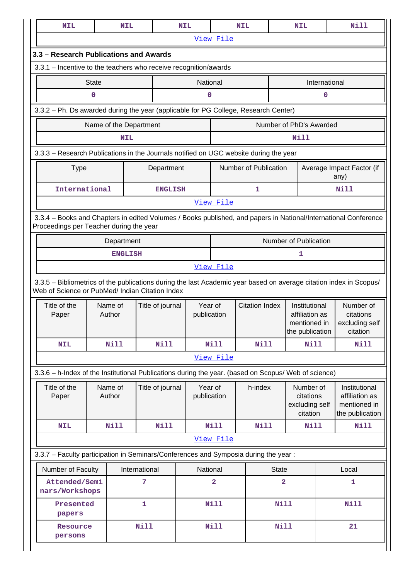| <b>NIL</b>                                                                                                                                                            |              | <b>NIL</b>             |                  | <b>NIL</b>             |                | <b>NIL</b>            |                | <b>NIL</b>                                                         |  | <b>Nill</b>                                                        |
|-----------------------------------------------------------------------------------------------------------------------------------------------------------------------|--------------|------------------------|------------------|------------------------|----------------|-----------------------|----------------|--------------------------------------------------------------------|--|--------------------------------------------------------------------|
|                                                                                                                                                                       |              |                        |                  |                        | View File      |                       |                |                                                                    |  |                                                                    |
| 3.3 - Research Publications and Awards                                                                                                                                |              |                        |                  |                        |                |                       |                |                                                                    |  |                                                                    |
| 3.3.1 - Incentive to the teachers who receive recognition/awards                                                                                                      |              |                        |                  |                        |                |                       |                |                                                                    |  |                                                                    |
|                                                                                                                                                                       | <b>State</b> |                        |                  | National               |                |                       |                | International                                                      |  |                                                                    |
| 0<br>0<br>0                                                                                                                                                           |              |                        |                  |                        |                |                       |                |                                                                    |  |                                                                    |
| 3.3.2 - Ph. Ds awarded during the year (applicable for PG College, Research Center)                                                                                   |              |                        |                  |                        |                |                       |                |                                                                    |  |                                                                    |
|                                                                                                                                                                       |              | Name of the Department |                  |                        |                |                       |                | Number of PhD's Awarded                                            |  |                                                                    |
| Nill<br><b>NIL</b>                                                                                                                                                    |              |                        |                  |                        |                |                       |                |                                                                    |  |                                                                    |
| 3.3.3 - Research Publications in the Journals notified on UGC website during the year                                                                                 |              |                        |                  |                        |                |                       |                |                                                                    |  |                                                                    |
| <b>Type</b>                                                                                                                                                           |              |                        | Department       |                        |                | Number of Publication |                |                                                                    |  | Average Impact Factor (if<br>any)                                  |
| International                                                                                                                                                         |              |                        | <b>ENGLISH</b>   |                        |                | 1                     |                |                                                                    |  | Nill                                                               |
|                                                                                                                                                                       |              |                        |                  |                        | View File      |                       |                |                                                                    |  |                                                                    |
| 3.3.4 - Books and Chapters in edited Volumes / Books published, and papers in National/International Conference<br>Proceedings per Teacher during the year            |              |                        |                  |                        |                |                       |                |                                                                    |  |                                                                    |
|                                                                                                                                                                       |              | Department             |                  |                        |                |                       |                | Number of Publication                                              |  |                                                                    |
|                                                                                                                                                                       |              | <b>ENGLISH</b>         |                  |                        |                |                       |                | 1                                                                  |  |                                                                    |
|                                                                                                                                                                       |              |                        |                  |                        | View File      |                       |                |                                                                    |  |                                                                    |
| 3.3.5 - Bibliometrics of the publications during the last Academic year based on average citation index in Scopus/<br>Web of Science or PubMed/ Indian Citation Index |              |                        |                  |                        |                |                       |                |                                                                    |  |                                                                    |
| Title of the<br>Paper                                                                                                                                                 |              | Name of<br>Author      | Title of journal | Year of<br>publication |                | <b>Citation Index</b> |                | Institutional<br>affiliation as<br>mentioned in<br>the publication |  | Number of<br>citations<br>excluding self<br>citation               |
| <b>NIL</b>                                                                                                                                                            |              | Nill                   | <b>Nill</b>      |                        | <b>Nill</b>    | Nill                  |                | Nill                                                               |  | Nill                                                               |
|                                                                                                                                                                       |              |                        |                  |                        | View File      |                       |                |                                                                    |  |                                                                    |
| 3.3.6 - h-Index of the Institutional Publications during the year. (based on Scopus/ Web of science)                                                                  |              |                        |                  |                        |                |                       |                |                                                                    |  |                                                                    |
| Title of the<br>Paper                                                                                                                                                 |              | Name of<br>Author      | Title of journal | Year of<br>publication |                | h-index               |                | Number of<br>citations<br>excluding self<br>citation               |  | Institutional<br>affiliation as<br>mentioned in<br>the publication |
| <b>NIL</b>                                                                                                                                                            |              | <b>Nill</b>            | <b>Nill</b>      |                        | <b>Nill</b>    | Nill                  |                | Nill                                                               |  | <b>Nill</b>                                                        |
|                                                                                                                                                                       |              |                        |                  |                        | View File      |                       |                |                                                                    |  |                                                                    |
| 3.3.7 - Faculty participation in Seminars/Conferences and Symposia during the year:                                                                                   |              |                        |                  |                        |                |                       |                |                                                                    |  |                                                                    |
| Number of Faculty<br>International                                                                                                                                    |              |                        |                  |                        | National       |                       | <b>State</b>   |                                                                    |  | Local                                                              |
| Attended/Semi<br>nars/Workshops                                                                                                                                       |              |                        | 7                |                        | $\overline{a}$ |                       | $\overline{a}$ |                                                                    |  | 1                                                                  |
| Presented<br>papers                                                                                                                                                   |              |                        | $\mathbf{1}$     |                        | <b>Nill</b>    |                       | <b>Nill</b>    |                                                                    |  | <b>Nill</b>                                                        |
| Resource<br>persons                                                                                                                                                   |              |                        | <b>Nill</b>      |                        | <b>Nill</b>    |                       | <b>Nill</b>    |                                                                    |  | 21                                                                 |
|                                                                                                                                                                       |              |                        |                  |                        |                |                       |                |                                                                    |  |                                                                    |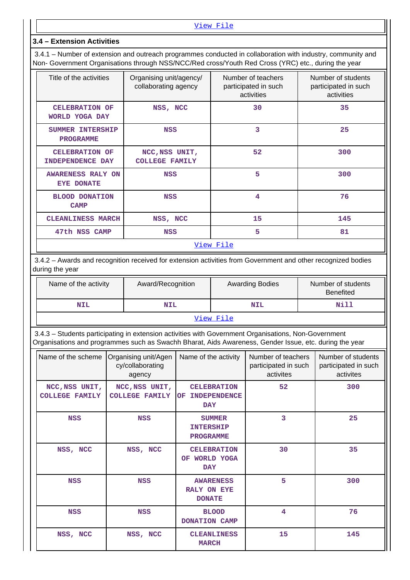#### **3.4 – Extension Activities**

 3.4.1 – Number of extension and outreach programmes conducted in collaboration with industry, community and Non- Government Organisations through NSS/NCC/Red cross/Youth Red Cross (YRC) etc., during the year

| Title of the activities                          | Organising unit/agency/<br>collaborating agency | Number of teachers<br>participated in such<br>activities | Number of students<br>participated in such<br>activities |  |
|--------------------------------------------------|-------------------------------------------------|----------------------------------------------------------|----------------------------------------------------------|--|
| <b>CELEBRATION OF</b><br>WORLD YOGA DAY          | NSS, NCC                                        | 30                                                       | 35                                                       |  |
| SUMMER INTERSHIP<br><b>PROGRAMME</b>             | <b>NSS</b>                                      | 3                                                        | 25                                                       |  |
| <b>CELEBRATION OF</b><br><b>INDEPENDENCE DAY</b> | NCC, NSS UNIT,<br><b>COLLEGE FAMILY</b>         | 52                                                       | 300                                                      |  |
| AWARENESS RALY ON<br><b>EYE DONATE</b>           | <b>NSS</b>                                      | 5                                                        | 300                                                      |  |
| <b>BLOOD DONATION</b><br><b>CAMP</b>             | <b>NSS</b>                                      | 4                                                        | 76                                                       |  |
| <b>CLEANLINESS MARCH</b>                         | NSS, NCC                                        | 15                                                       | 145                                                      |  |
| 47th NSS CAMP                                    | <b>NSS</b>                                      | 5                                                        | 81                                                       |  |
|                                                  |                                                 | View File                                                |                                                          |  |

 3.4.2 – Awards and recognition received for extension activities from Government and other recognized bodies during the year

| Name of the activity | Award/Recognition | <b>Awarding Bodies</b> | Number of students<br><b>Benefited</b> |  |  |  |  |  |
|----------------------|-------------------|------------------------|----------------------------------------|--|--|--|--|--|
| NIL                  | <b>NIL</b>        | <b>NIL</b>             | Nill                                   |  |  |  |  |  |
|                      | View File         |                        |                                        |  |  |  |  |  |

 3.4.3 – Students participating in extension activities with Government Organisations, Non-Government Organisations and programmes such as Swachh Bharat, Aids Awareness, Gender Issue, etc. during the year

| Name of the scheme                      | Organising unit/Agen<br>cy/collaborating<br>agency | Name of the activity                                           | Number of teachers<br>participated in such<br>activites | Number of students<br>participated in such<br>activites |
|-----------------------------------------|----------------------------------------------------|----------------------------------------------------------------|---------------------------------------------------------|---------------------------------------------------------|
| NCC, NSS UNIT,<br><b>COLLEGE FAMILY</b> | NCC, NSS UNIT,<br><b>COLLEGE FAMILY</b>            | <b>CELEBRATION</b><br><b>INDEPENDENCE</b><br>OF.<br><b>DAY</b> | 52                                                      | 300                                                     |
| <b>NSS</b>                              | <b>NSS</b>                                         | <b>SUMMER</b><br><b>INTERSHIP</b><br><b>PROGRAMME</b>          | 3                                                       | 25                                                      |
| NSS, NCC                                | NSS, NCC                                           | <b>CELEBRATION</b><br>WORLD YOGA<br><b>OF</b><br><b>DAY</b>    | 30                                                      | 35                                                      |
| <b>NSS</b>                              | <b>NSS</b>                                         | <b>AWARENESS</b><br>RALY ON EYE<br><b>DONATE</b>               | 5                                                       | 300                                                     |
| <b>NSS</b>                              | <b>NSS</b>                                         | <b>BLOOD</b><br>DONATION CAMP                                  | 4                                                       | 76                                                      |
| NSS, NCC                                | NSS, NCC                                           | <b>CLEANLINESS</b><br><b>MARCH</b>                             | 15                                                      | 145                                                     |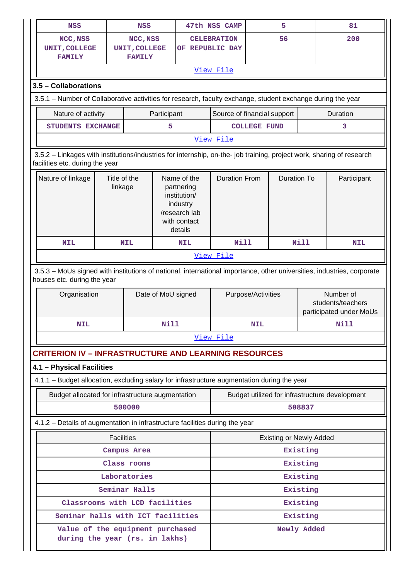| <b>NSS</b>                                                                                                                                               |                         | <b>NSS</b>                                 |                     |                                                                                                   | 47th NSS CAMP                         |                    | 5                              |             | 81                                                        |  |
|----------------------------------------------------------------------------------------------------------------------------------------------------------|-------------------------|--------------------------------------------|---------------------|---------------------------------------------------------------------------------------------------|---------------------------------------|--------------------|--------------------------------|-------------|-----------------------------------------------------------|--|
| NCC, NSS<br>UNIT, COLLEGE<br><b>FAMILY</b>                                                                                                               |                         | NCC, NSS<br>UNIT, COLLEGE<br><b>FAMILY</b> |                     |                                                                                                   | <b>CELEBRATION</b><br>OF REPUBLIC DAY |                    | 56                             |             | 200                                                       |  |
|                                                                                                                                                          |                         |                                            |                     |                                                                                                   | View File                             |                    |                                |             |                                                           |  |
| 3.5 - Collaborations                                                                                                                                     |                         |                                            |                     |                                                                                                   |                                       |                    |                                |             |                                                           |  |
| 3.5.1 - Number of Collaborative activities for research, faculty exchange, student exchange during the year                                              |                         |                                            |                     |                                                                                                   |                                       |                    |                                |             |                                                           |  |
| Nature of activity                                                                                                                                       | Participant             | Source of financial support                |                     |                                                                                                   |                                       | Duration           |                                |             |                                                           |  |
| STUDENTS EXCHANGE                                                                                                                                        |                         |                                            | <b>COLLEGE FUND</b> |                                                                                                   |                                       | 3                  |                                |             |                                                           |  |
| View File                                                                                                                                                |                         |                                            |                     |                                                                                                   |                                       |                    |                                |             |                                                           |  |
| 3.5.2 - Linkages with institutions/industries for internship, on-the- job training, project work, sharing of research<br>facilities etc. during the year |                         |                                            |                     |                                                                                                   |                                       |                    |                                |             |                                                           |  |
| Nature of linkage                                                                                                                                        | Title of the<br>linkage |                                            |                     | Name of the<br>partnering<br>institution/<br>industry<br>/research lab<br>with contact<br>details | <b>Duration From</b>                  |                    | <b>Duration To</b>             |             | Participant                                               |  |
| <b>NIL</b>                                                                                                                                               | <b>NIL</b>              |                                            |                     | <b>NIL</b>                                                                                        | <b>Nill</b>                           |                    |                                | <b>Nill</b> | <b>NIL</b>                                                |  |
|                                                                                                                                                          |                         |                                            |                     |                                                                                                   | View File                             |                    |                                |             |                                                           |  |
| 3.5.3 - MoUs signed with institutions of national, international importance, other universities, industries, corporate<br>houses etc. during the year    |                         |                                            |                     |                                                                                                   |                                       |                    |                                |             |                                                           |  |
| Organisation                                                                                                                                             |                         |                                            | Date of MoU signed  |                                                                                                   |                                       | Purpose/Activities |                                |             | Number of<br>students/teachers<br>participated under MoUs |  |
| NIL                                                                                                                                                      |                         |                                            | Nill                |                                                                                                   | <b>NIL</b>                            |                    | Nill                           |             |                                                           |  |
|                                                                                                                                                          |                         |                                            |                     |                                                                                                   |                                       |                    |                                |             |                                                           |  |
|                                                                                                                                                          | View File               |                                            |                     |                                                                                                   |                                       |                    |                                |             |                                                           |  |
| <b>CRITERION IV - INFRASTRUCTURE AND LEARNING RESOURCES</b>                                                                                              |                         |                                            |                     |                                                                                                   |                                       |                    |                                |             |                                                           |  |
| 4.1 - Physical Facilities                                                                                                                                |                         |                                            |                     |                                                                                                   |                                       |                    |                                |             |                                                           |  |
| 4.1.1 - Budget allocation, excluding salary for infrastructure augmentation during the year                                                              |                         |                                            |                     |                                                                                                   |                                       |                    |                                |             |                                                           |  |
| Budget allocated for infrastructure augmentation                                                                                                         |                         |                                            |                     |                                                                                                   |                                       |                    |                                |             | Budget utilized for infrastructure development            |  |
|                                                                                                                                                          | 500000                  |                                            |                     |                                                                                                   |                                       |                    |                                | 508837      |                                                           |  |
| 4.1.2 - Details of augmentation in infrastructure facilities during the year                                                                             |                         |                                            |                     |                                                                                                   |                                       |                    |                                |             |                                                           |  |
|                                                                                                                                                          | <b>Facilities</b>       |                                            |                     |                                                                                                   |                                       |                    | <b>Existing or Newly Added</b> |             |                                                           |  |
|                                                                                                                                                          |                         | Campus Area                                |                     |                                                                                                   |                                       |                    |                                | Existing    |                                                           |  |
|                                                                                                                                                          |                         | Class rooms                                |                     |                                                                                                   |                                       |                    |                                | Existing    |                                                           |  |
|                                                                                                                                                          |                         | Laboratories                               |                     |                                                                                                   |                                       |                    |                                | Existing    |                                                           |  |
|                                                                                                                                                          |                         | Seminar Halls                              |                     |                                                                                                   |                                       |                    |                                | Existing    |                                                           |  |
| Classrooms with LCD facilities                                                                                                                           |                         |                                            |                     |                                                                                                   |                                       |                    |                                | Existing    |                                                           |  |
| Seminar halls with ICT facilities                                                                                                                        |                         |                                            |                     |                                                                                                   |                                       |                    |                                | Existing    |                                                           |  |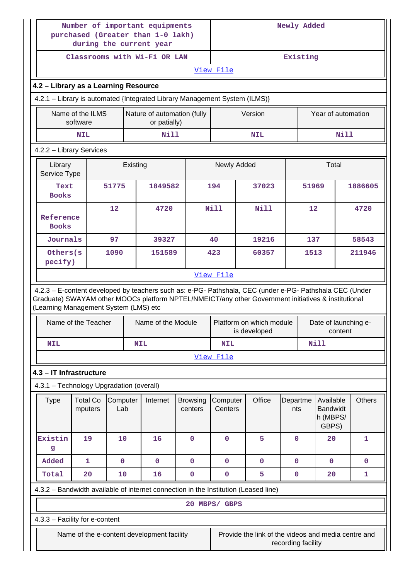|                                          | Number of important equipments<br>purchased (Greater than 1-0 lakh)<br>during the current year<br>Classrooms with Wi-Fi OR LAN |                 |            |                    |                            |                     | Newly Added                                                                                                                                                                                                    |                    |       |                                                   |             |               |
|------------------------------------------|--------------------------------------------------------------------------------------------------------------------------------|-----------------|------------|--------------------|----------------------------|---------------------|----------------------------------------------------------------------------------------------------------------------------------------------------------------------------------------------------------------|--------------------|-------|---------------------------------------------------|-------------|---------------|
|                                          |                                                                                                                                |                 |            |                    |                            | Existing            |                                                                                                                                                                                                                |                    |       |                                                   |             |               |
|                                          |                                                                                                                                |                 |            |                    |                            | View File           |                                                                                                                                                                                                                |                    |       |                                                   |             |               |
|                                          | 4.2 - Library as a Learning Resource                                                                                           |                 |            |                    |                            |                     |                                                                                                                                                                                                                |                    |       |                                                   |             |               |
|                                          | 4.2.1 - Library is automated {Integrated Library Management System (ILMS)}                                                     |                 |            |                    |                            |                     |                                                                                                                                                                                                                |                    |       |                                                   |             |               |
|                                          | Name of the ILMS<br>Nature of automation (fully<br>or patially)<br>software                                                    |                 |            |                    |                            |                     |                                                                                                                                                                                                                |                    |       | Year of automation                                |             |               |
|                                          | <b>NIL</b>                                                                                                                     |                 |            | <b>Nill</b>        |                            |                     | <b>NIL</b>                                                                                                                                                                                                     |                    |       |                                                   | <b>Nill</b> |               |
| 4.2.2 - Library Services                 |                                                                                                                                |                 |            |                    |                            |                     |                                                                                                                                                                                                                |                    |       |                                                   |             |               |
| Library<br>Service Type                  |                                                                                                                                |                 | Existing   |                    |                            | Newly Added         |                                                                                                                                                                                                                |                    |       | Total                                             |             |               |
| Text<br><b>Books</b>                     |                                                                                                                                | 51775           |            | 1849582            |                            | 194                 | 37023                                                                                                                                                                                                          |                    | 51969 |                                                   |             | 1886605       |
| Reference<br><b>Books</b>                |                                                                                                                                | 12              |            | 4720               |                            | <b>Nill</b>         | <b>Nill</b>                                                                                                                                                                                                    |                    | 12    |                                                   |             | 4720          |
| Journals                                 |                                                                                                                                | 97              |            | 39327              |                            | 40                  | 19216                                                                                                                                                                                                          |                    | 137   |                                                   |             | 58543         |
| Others(s<br>pecify)                      |                                                                                                                                | 1090            |            | 151589             |                            | 423                 | 60357                                                                                                                                                                                                          |                    | 1513  |                                                   |             | 211946        |
|                                          |                                                                                                                                |                 |            |                    |                            | View File           |                                                                                                                                                                                                                |                    |       |                                                   |             |               |
| (Learning Management System (LMS) etc    |                                                                                                                                |                 |            |                    |                            |                     | 4.2.3 - E-content developed by teachers such as: e-PG- Pathshala, CEC (under e-PG- Pathshala CEC (Under<br>Graduate) SWAYAM other MOOCs platform NPTEL/NMEICT/any other Government initiatives & institutional |                    |       |                                                   |             |               |
|                                          | Name of the Teacher                                                                                                            |                 |            | Name of the Module |                            |                     | Platform on which module<br>is developed                                                                                                                                                                       |                    |       | Date of launching e-                              | content     |               |
| <b>NIL</b>                               |                                                                                                                                |                 | <b>NIL</b> |                    |                            | <b>NIL</b>          |                                                                                                                                                                                                                |                    |       | <b>Nill</b>                                       |             |               |
|                                          |                                                                                                                                |                 |            |                    |                            | View File           |                                                                                                                                                                                                                |                    |       |                                                   |             |               |
| 4.3 - IT Infrastructure                  |                                                                                                                                |                 |            |                    |                            |                     |                                                                                                                                                                                                                |                    |       |                                                   |             |               |
| 4.3.1 - Technology Upgradation (overall) |                                                                                                                                |                 |            |                    |                            |                     |                                                                                                                                                                                                                |                    |       |                                                   |             |               |
| <b>Type</b>                              | <b>Total Co</b><br>mputers                                                                                                     | Computer<br>Lab |            | Internet           | <b>Browsing</b><br>centers | Computer<br>Centers | Office                                                                                                                                                                                                         | Departme<br>nts    |       | Available<br><b>Bandwidt</b><br>h (MBPS/<br>GBPS) |             | <b>Others</b> |
| Existin<br>g                             | 19                                                                                                                             | 10              |            | 16                 | $\mathbf 0$                | $\mathbf 0$         | 5                                                                                                                                                                                                              | $\mathbf 0$        |       | 20                                                |             | $\mathbf{1}$  |
| Added                                    | 1                                                                                                                              | $\mathbf 0$     |            | $\mathbf 0$        | $\mathbf 0$                | $\mathbf 0$         | $\mathbf 0$                                                                                                                                                                                                    | $\mathbf 0$        |       | $\mathbf 0$                                       |             | $\mathbf 0$   |
| Total                                    | 20                                                                                                                             | 10              |            | 16                 | $\pmb{0}$                  | $\pmb{0}$           | 5                                                                                                                                                                                                              | $\pmb{0}$          |       | 20                                                |             | 1             |
|                                          |                                                                                                                                |                 |            |                    |                            |                     | 4.3.2 - Bandwidth available of internet connection in the Institution (Leased line)                                                                                                                            |                    |       |                                                   |             |               |
|                                          |                                                                                                                                |                 |            |                    |                            | 20 MBPS/ GBPS       |                                                                                                                                                                                                                |                    |       |                                                   |             |               |
| 4.3.3 - Facility for e-content           |                                                                                                                                |                 |            |                    |                            |                     |                                                                                                                                                                                                                |                    |       |                                                   |             |               |
|                                          | Name of the e-content development facility                                                                                     |                 |            |                    |                            |                     | Provide the link of the videos and media centre and                                                                                                                                                            | recording facility |       |                                                   |             |               |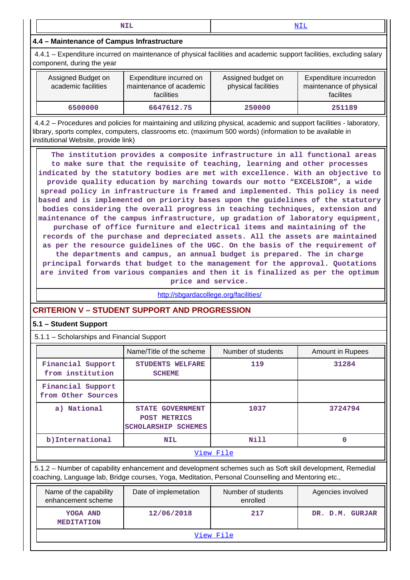**NIL** <NIL>

## **4.4 – Maintenance of Campus Infrastructure**

 4.4.1 – Expenditure incurred on maintenance of physical facilities and academic support facilities, excluding salary component, during the year

| Assigned Budget on<br>academic facilities | Expenditure incurred on<br>maintenance of academic<br><b>facilities</b> | Assigned budget on<br>physical facilities | Expenditure incurredon<br>maintenance of physical<br>facilites |
|-------------------------------------------|-------------------------------------------------------------------------|-------------------------------------------|----------------------------------------------------------------|
| 6500000                                   | 6647612.75                                                              | 250000                                    | 251189                                                         |

 4.4.2 – Procedures and policies for maintaining and utilizing physical, academic and support facilities - laboratory, library, sports complex, computers, classrooms etc. (maximum 500 words) (information to be available in institutional Website, provide link)

 **The institution provides a composite infrastructure in all functional areas to make sure that the requisite of teaching, learning and other processes indicated by the statutory bodies are met with excellence. With an objective to provide quality education by marching towards our motto "EXCELSIOR", a wide spread policy in infrastructure is framed and implemented. This policy is need based and is implemented on priority bases upon the guidelines of the statutory bodies considering the overall progress in teaching techniques, extension and maintenance of the campus infrastructure, up gradation of laboratory equipment, purchase of office furniture and electrical items and maintaining of the records of the purchase and depreciated assets. All the assets are maintained as per the resource guidelines of the UGC. On the basis of the requirement of the departments and campus, an annual budget is prepared. The in charge principal forwards that budget to the management for the approval. Quotations are invited from various companies and then it is finalized as per the optimum price and service.**

<http://sbgardacollege.org/facilities/>

# **CRITERION V – STUDENT SUPPORT AND PROGRESSION**

#### **5.1 – Student Support**

| 5.1.1 - Scholarships and Financial Support |  |
|--------------------------------------------|--|
|--------------------------------------------|--|

|                                              | Name/Title of the scheme                                                                                                                                                                                        | Number of students             | <b>Amount in Rupees</b> |  |
|----------------------------------------------|-----------------------------------------------------------------------------------------------------------------------------------------------------------------------------------------------------------------|--------------------------------|-------------------------|--|
| Financial Support<br>from institution        | STUDENTS WELFARE<br><b>SCHEME</b>                                                                                                                                                                               | 119                            | 31284                   |  |
| Financial Support<br>from Other Sources      |                                                                                                                                                                                                                 |                                |                         |  |
| a) National                                  | <b>STATE GOVERNMENT</b><br>POST METRICS<br><b>SCHOLARSHIP SCHEMES</b>                                                                                                                                           | 1037                           | 3724794                 |  |
| b) International                             | <b>NIL</b>                                                                                                                                                                                                      | Nill                           | $\Omega$                |  |
|                                              |                                                                                                                                                                                                                 | View File                      |                         |  |
|                                              | 5.1.2 - Number of capability enhancement and development schemes such as Soft skill development, Remedial<br>coaching, Language lab, Bridge courses, Yoga, Meditation, Personal Counselling and Mentoring etc., |                                |                         |  |
| Name of the capability<br>enhancement scheme | Date of implemetation                                                                                                                                                                                           | Number of students<br>enrolled | Agencies involved       |  |
| YOGA AND<br><b>MEDITATION</b>                | 12/06/2018                                                                                                                                                                                                      | 217                            | DR. D.M. GURJAR         |  |
|                                              |                                                                                                                                                                                                                 |                                |                         |  |

[View File](https://assessmentonline.naac.gov.in/public/Postacc/Development_Schemes/10371_Development_Schemes_1621224343.xlsx)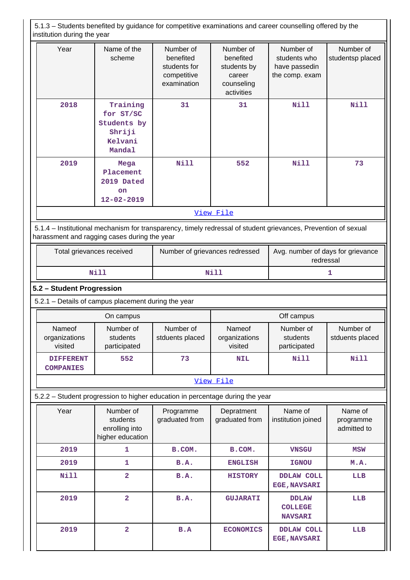5.1.3 – Students benefited by guidance for competitive examinations and career counselling offered by the institution during the year

| Year | Name of the<br>scheme                                                                                                                                          | Number of<br>benefited<br>students for<br>competitive<br>examination | Number of<br>benefited<br>students by<br>career<br>counseling<br>activities | Number of<br>students who<br>have passedin<br>the comp. exam | Number of<br>studentsp placed |
|------|----------------------------------------------------------------------------------------------------------------------------------------------------------------|----------------------------------------------------------------------|-----------------------------------------------------------------------------|--------------------------------------------------------------|-------------------------------|
| 2018 | Training<br>for ST/SC<br>Students by<br>Shriji<br>Kelvani<br>Mandal                                                                                            | 31                                                                   | 31                                                                          | Nill                                                         | Nill                          |
| 2019 | Mega<br>Placement<br>2019 Dated<br><b>on</b><br>$12 - 02 - 2019$                                                                                               | Nill                                                                 | 552                                                                         | Nill                                                         | 73                            |
|      |                                                                                                                                                                |                                                                      | <u>View File</u>                                                            |                                                              |                               |
|      | 5.1.4 – Institutional mechanism for transparency, timely redressal of student grievances, Prevention of sexual<br>harassment and ragging cases during the year |                                                                      |                                                                             |                                                              |                               |

| Total grievances received | Number of grievances redressed | Avg. number of days for grievance<br>redressal |
|---------------------------|--------------------------------|------------------------------------------------|
| Nill                      | Nill                           |                                                |

## **5.2 – Student Progression**

5.2.1 – Details of campus placement during the year

|                                      | On campus                             |                              | Off campus                         |                                       |                              |  |
|--------------------------------------|---------------------------------------|------------------------------|------------------------------------|---------------------------------------|------------------------------|--|
| Nameof<br>organizations<br>visited   | Number of<br>students<br>participated | Number of<br>stduents placed | Nameof<br>organizations<br>visited | Number of<br>students<br>participated | Number of<br>stduents placed |  |
| <b>DIFFERENT</b><br><b>COMPANIES</b> | 552                                   | 73                           | <b>NIL</b>                         | Nill                                  | Nill                         |  |

#### [View File](https://assessmentonline.naac.gov.in/public/Postacc/Placement/10371_Placement_1621224434.xlsx)

| 5.2.2 – Student progression to higher education in percentage during the year<br>Year<br>Name of<br>Number of<br>Depratment<br>Programme<br>graduated from<br>graduated from<br>institution joined<br>students<br>enrolling into<br>higher education<br>2019<br>1<br>B.COM.<br>B.COM.<br><b>VNSGU</b><br>2019<br>1<br>B.A.<br><b>ENGLISH</b><br><b>IGNOU</b><br>$\overline{2}$<br>Nill<br>B.A.<br><b>HISTORY</b><br><b>DDLAW COLL</b><br><b>EGE, NAVSARI</b><br>$\overline{2}$<br>2019<br>B.A.<br><b>GUJARATI</b><br><b>DDLAW</b><br><b>COLLEGE</b><br><b>NAVSARI</b><br>$\overline{2}$<br>2019<br>B.A<br><b>DDLAW COLL</b><br><b>ECONOMICS</b><br><b>EGE, NAVSARI</b> |  |  |  |  |                                     |
|------------------------------------------------------------------------------------------------------------------------------------------------------------------------------------------------------------------------------------------------------------------------------------------------------------------------------------------------------------------------------------------------------------------------------------------------------------------------------------------------------------------------------------------------------------------------------------------------------------------------------------------------------------------------|--|--|--|--|-------------------------------------|
|                                                                                                                                                                                                                                                                                                                                                                                                                                                                                                                                                                                                                                                                        |  |  |  |  | Name of<br>programme<br>admitted to |
|                                                                                                                                                                                                                                                                                                                                                                                                                                                                                                                                                                                                                                                                        |  |  |  |  | MSW                                 |
|                                                                                                                                                                                                                                                                                                                                                                                                                                                                                                                                                                                                                                                                        |  |  |  |  | M.A.                                |
|                                                                                                                                                                                                                                                                                                                                                                                                                                                                                                                                                                                                                                                                        |  |  |  |  | LLB                                 |
|                                                                                                                                                                                                                                                                                                                                                                                                                                                                                                                                                                                                                                                                        |  |  |  |  | <b>LLB</b>                          |
|                                                                                                                                                                                                                                                                                                                                                                                                                                                                                                                                                                                                                                                                        |  |  |  |  | LLB                                 |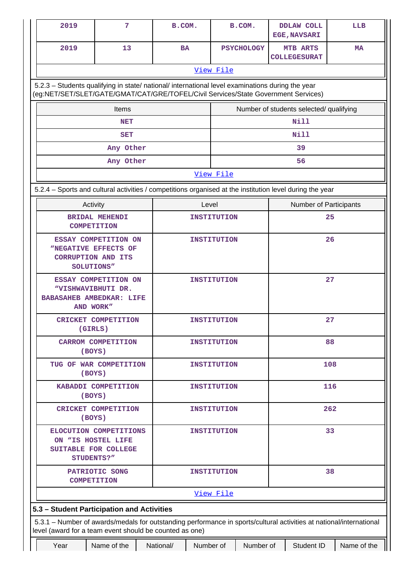| 2019                                                                                                                                                                           | 7                                                                                                                                                                                      | B.COM.    |                    |                                         | B.COM.            | <b>DDLAW COLL</b><br><b>EGE, NAVSARI</b> |                                 | LLB         |  |  |
|--------------------------------------------------------------------------------------------------------------------------------------------------------------------------------|----------------------------------------------------------------------------------------------------------------------------------------------------------------------------------------|-----------|--------------------|-----------------------------------------|-------------------|------------------------------------------|---------------------------------|-------------|--|--|
| 2019                                                                                                                                                                           | 13                                                                                                                                                                                     | <b>BA</b> |                    |                                         | <b>PSYCHOLOGY</b> |                                          | MTB ARTS<br><b>COLLEGESURAT</b> | <b>MA</b>   |  |  |
|                                                                                                                                                                                |                                                                                                                                                                                        |           |                    | View File                               |                   |                                          |                                 |             |  |  |
|                                                                                                                                                                                | 5.2.3 - Students qualifying in state/ national/ international level examinations during the year<br>(eg:NET/SET/SLET/GATE/GMAT/CAT/GRE/TOFEL/Civil Services/State Government Services) |           |                    |                                         |                   |                                          |                                 |             |  |  |
|                                                                                                                                                                                | Items                                                                                                                                                                                  |           |                    | Number of students selected/ qualifying |                   |                                          |                                 |             |  |  |
|                                                                                                                                                                                | <b>NET</b>                                                                                                                                                                             |           |                    |                                         |                   |                                          | <b>Nill</b>                     |             |  |  |
|                                                                                                                                                                                | <b>SET</b>                                                                                                                                                                             |           |                    |                                         |                   |                                          | <b>Nill</b>                     |             |  |  |
|                                                                                                                                                                                | Any Other                                                                                                                                                                              |           |                    |                                         |                   |                                          | 39                              |             |  |  |
|                                                                                                                                                                                | Any Other                                                                                                                                                                              |           |                    |                                         |                   |                                          | 56                              |             |  |  |
|                                                                                                                                                                                |                                                                                                                                                                                        |           |                    | View File                               |                   |                                          |                                 |             |  |  |
| 5.2.4 - Sports and cultural activities / competitions organised at the institution level during the year                                                                       |                                                                                                                                                                                        |           |                    |                                         |                   |                                          |                                 |             |  |  |
| Activity                                                                                                                                                                       |                                                                                                                                                                                        |           | Level              |                                         |                   |                                          | <b>Number of Participants</b>   |             |  |  |
| <b>COMPETITION</b>                                                                                                                                                             | <b>BRIDAL MEHENDI</b>                                                                                                                                                                  |           |                    | <b>INSTITUTION</b>                      |                   |                                          | 25                              |             |  |  |
| <b>CORRUPTION AND ITS</b><br>SOLUTIONS"                                                                                                                                        | ESSAY COMPETITION ON<br>"NEGATIVE EFFECTS OF                                                                                                                                           |           | INSTITUTION        |                                         |                   | 26                                       |                                 |             |  |  |
| "VISHWAVIBHUTI DR.<br><b>BABASAHEB AMBEDKAR: LIFE</b><br>AND WORK"                                                                                                             | ESSAY COMPETITION ON                                                                                                                                                                   |           |                    | INSTITUTION                             |                   |                                          | 27                              |             |  |  |
| (GIRLS)                                                                                                                                                                        | <b>CRICKET COMPETITION</b>                                                                                                                                                             |           |                    | INSTITUTION                             | 27                |                                          |                                 |             |  |  |
| (BOYS)                                                                                                                                                                         | <b>CARROM COMPETITION</b>                                                                                                                                                              |           | <b>INSTITUTION</b> |                                         |                   | 88                                       |                                 |             |  |  |
| (BOYS)                                                                                                                                                                         | TUG OF WAR COMPETITION                                                                                                                                                                 |           |                    | <b>INSTITUTION</b>                      |                   | 108                                      |                                 |             |  |  |
| (BOYS)                                                                                                                                                                         | KABADDI COMPETITION                                                                                                                                                                    |           |                    | <b>INSTITUTION</b>                      |                   |                                          | 116                             |             |  |  |
| (BOYS)                                                                                                                                                                         | CRICKET COMPETITION                                                                                                                                                                    |           |                    | <b>INSTITUTION</b>                      |                   |                                          | 262                             |             |  |  |
|                                                                                                                                                                                | ELOCUTION COMPETITIONS<br><b>INSTITUTION</b><br>ON "IS HOSTEL LIFE<br>SUITABLE FOR COLLEGE<br>STUDENTS?"                                                                               |           |                    |                                         | 33                |                                          |                                 |             |  |  |
| <b>COMPETITION</b>                                                                                                                                                             | PATRIOTIC SONG                                                                                                                                                                         |           |                    | <b>INSTITUTION</b>                      |                   |                                          | 38                              |             |  |  |
|                                                                                                                                                                                |                                                                                                                                                                                        |           |                    | View File                               |                   |                                          |                                 |             |  |  |
| 5.3 - Student Participation and Activities                                                                                                                                     |                                                                                                                                                                                        |           |                    |                                         |                   |                                          |                                 |             |  |  |
| 5.3.1 - Number of awards/medals for outstanding performance in sports/cultural activities at national/international<br>level (award for a team event should be counted as one) |                                                                                                                                                                                        |           |                    |                                         |                   |                                          |                                 |             |  |  |
| Year                                                                                                                                                                           | Name of the                                                                                                                                                                            | National/ | Number of          |                                         | Number of         |                                          | Student ID                      | Name of the |  |  |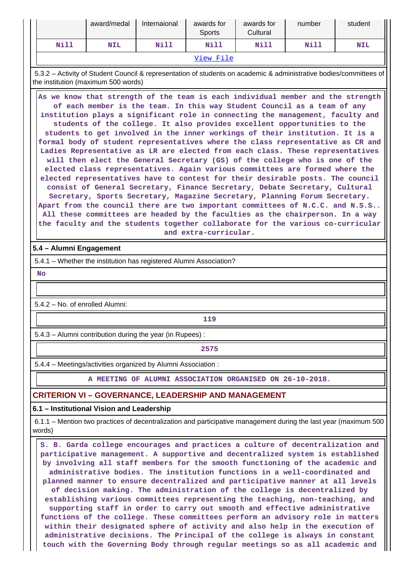|           | award/medal        | Internaional |      | awards for<br>Cultural | number             | student |  |
|-----------|--------------------|--------------|------|------------------------|--------------------|---------|--|
| Nill      | Nill<br><b>NIL</b> |              | Nill | Nill                   | Nill<br><b>NIL</b> |         |  |
| View File |                    |              |      |                        |                    |         |  |

 5.3.2 – Activity of Student Council & representation of students on academic & administrative bodies/committees of the institution (maximum 500 words)

 **As we know that strength of the team is each individual member and the strength of each member is the team. In this way Student Council as a team of any institution plays a significant role in connecting the management, faculty and students of the college. It also provides excellent opportunities to the students to get involved in the inner workings of their institution. It is a formal body of student representatives where the class representative as CR and Ladies Representative as LR are elected from each class. These representatives will then elect the General Secretary (GS) of the college who is one of the elected class representatives. Again various committees are formed where the elected representatives have to contest for their desirable posts. The council consist of General Secretary, Finance Secretary, Debate Secretary, Cultural Secretary, Sports Secretary, Magazine Secretary, Planning Forum Secretary. Apart from the council there are two important committees of N.C.C. and N.S.S.. All these committees are headed by the faculties as the chairperson. In a way the faculty and the students together collaborate for the various co-curricular and extra-curricular.**

#### **5.4 – Alumni Engagement**

5.4.1 – Whether the institution has registered Alumni Association?

 **No**

5.4.2 – No. of enrolled Alumni:

**119** 

5.4.3 – Alumni contribution during the year (in Rupees) :

**2575**

5.4.4 – Meetings/activities organized by Alumni Association :

**A MEETING OF ALUMNI ASSOCIATION ORGANISED ON 26-10-2018.**

#### **CRITERION VI – GOVERNANCE, LEADERSHIP AND MANAGEMENT**

#### **6.1 – Institutional Vision and Leadership**

 6.1.1 – Mention two practices of decentralization and participative management during the last year (maximum 500 words)

 **S. B. Garda college encourages and practices a culture of decentralization and participative management. A supportive and decentralized system is established by involving all staff members for the smooth functioning of the academic and administrative bodies. The institution functions in a well-coordinated and planned manner to ensure decentralized and participative manner at all levels of decision making. The administration of the college is decentralized by establishing various committees representing the teaching, non-teaching, and supporting staff in order to carry out smooth and effective administrative functions of the college. These committees perform an advisory role in matters within their designated sphere of activity and also help in the execution of administrative decisions. The Principal of the college is always in constant touch with the Governing Body through regular meetings so as all academic and**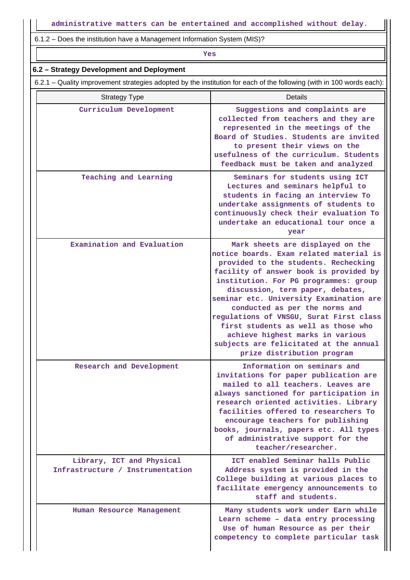6.1.2 – Does the institution have a Management Information System (MIS)?

## *Yes*

### **6.2 – Strategy Development and Deployment**

6.2.1 – Quality improvement strategies adopted by the institution for each of the following (with in 100 words each):

| <b>Strategy Type</b>                                          | Details                                                                                                                                                                                                                                                                                                                                                                                                                                                                                                               |
|---------------------------------------------------------------|-----------------------------------------------------------------------------------------------------------------------------------------------------------------------------------------------------------------------------------------------------------------------------------------------------------------------------------------------------------------------------------------------------------------------------------------------------------------------------------------------------------------------|
| Curriculum Development                                        | Suggestions and complaints are<br>collected from teachers and they are<br>represented in the meetings of the<br>Board of Studies. Students are invited<br>to present their views on the<br>usefulness of the curriculum. Students<br>feedback must be taken and analyzed                                                                                                                                                                                                                                              |
| Teaching and Learning                                         | Seminars for students using ICT<br>Lectures and seminars helpful to<br>students in facing an interview To<br>undertake assignments of students to<br>continuously check their evaluation To<br>undertake an educational tour once a<br>year                                                                                                                                                                                                                                                                           |
| Examination and Evaluation                                    | Mark sheets are displayed on the<br>notice boards. Exam related material is<br>provided to the students. Rechecking<br>facility of answer book is provided by<br>institution. For PG programmes: group<br>discussion, term paper, debates,<br>seminar etc. University Examination are<br>conducted as per the norms and<br>regulations of VNSGU, Surat First class<br>first students as well as those who<br>achieve highest marks in various<br>subjects are felicitated at the annual<br>prize distribution program |
| Research and Development                                      | Information on seminars and<br>invitations for paper publication are<br>mailed to all teachers. Leaves are<br>always sanctioned for participation in<br>research oriented activities. Library<br>facilities offered to researchers To<br>encourage teachers for publishing<br>books, journals, papers etc. All types<br>of administrative support for the<br>teacher/researcher.                                                                                                                                      |
| Library, ICT and Physical<br>Infrastructure / Instrumentation | ICT enabled Seminar halls Public<br>Address system is provided in the<br>College building at various places to<br>facilitate emergency announcements to<br>staff and students.                                                                                                                                                                                                                                                                                                                                        |
| Human Resource Management                                     | Many students work under Earn while<br>Learn scheme - data entry processing<br>Use of human Resource as per their<br>competency to complete particular task                                                                                                                                                                                                                                                                                                                                                           |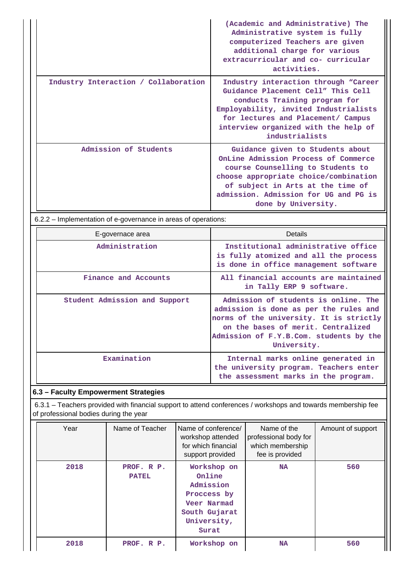|                                      | (Academic and Administrative) The<br>Administrative system is fully<br>computerized Teachers are given<br>additional charge for various<br>extracurricular and co- curricular<br>activities.                                                                |
|--------------------------------------|-------------------------------------------------------------------------------------------------------------------------------------------------------------------------------------------------------------------------------------------------------------|
| Industry Interaction / Collaboration | Industry interaction through "Career<br>Guidance Placement Cell" This Cell<br>conducts Training program for<br>Employability, invited Industrialists<br>for lectures and Placement/ Campus<br>interview organized with the help of<br>industrialists        |
| Admission of Students                | Guidance given to Students about<br>OnLine Admission Process of Commerce<br>course Counselling to Students to<br>choose appropriate choice/combination<br>of subject in Arts at the time of<br>admission. Admission for UG and PG is<br>done by University. |

6.2.2 – Implementation of e-governance in areas of operations:

| E-governace area              | Details                                                                                                                                                                                                                   |
|-------------------------------|---------------------------------------------------------------------------------------------------------------------------------------------------------------------------------------------------------------------------|
| Administration                | Institutional administrative office<br>is fully atomized and all the process<br>is done in office management software                                                                                                     |
| Finance and Accounts          | All financial accounts are maintained<br>in Tally ERP 9 software.                                                                                                                                                         |
| Student Admission and Support | Admission of students is online. The<br>admission is done as per the rules and<br>norms of the university. It is strictly<br>on the bases of merit. Centralized<br>Admission of F.Y.B.Com. students by the<br>University. |
| Examination                   | Internal marks online generated in<br>the university program. Teachers enter<br>the assessment marks in the program.                                                                                                      |

# **6.3 – Faculty Empowerment Strategies**

 6.3.1 – Teachers provided with financial support to attend conferences / workshops and towards membership fee of professional bodies during the year

| Year | Name of Teacher            | Name of conference/<br>workshop attended<br>for which financial<br>support provided                       | Name of the<br>professional body for<br>which membership<br>fee is provided | Amount of support |
|------|----------------------------|-----------------------------------------------------------------------------------------------------------|-----------------------------------------------------------------------------|-------------------|
| 2018 | PROF. R P.<br><b>PATEL</b> | Workshop on<br>Online<br>Admission<br>Proccess by<br>Veer Narmad<br>South Gujarat<br>University,<br>Surat | <b>NA</b>                                                                   | 560               |
| 2018 | PROF. R P.                 | Workshop on                                                                                               | <b>NA</b>                                                                   | 560               |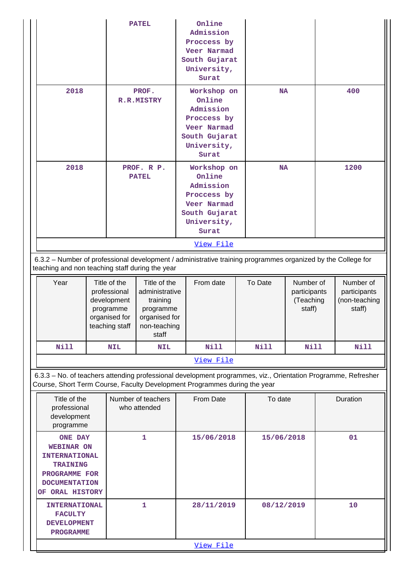| <b>PATEL</b>                                                                                                                                                                               |  | Online<br>Admission<br>Proccess by<br>Veer Narmad<br>South Gujarat<br>University,<br>Surat                             |                                                                                                   |     |                                                                                                                               |           |             |                                                  |    |                                                      |
|--------------------------------------------------------------------------------------------------------------------------------------------------------------------------------------------|--|------------------------------------------------------------------------------------------------------------------------|---------------------------------------------------------------------------------------------------|-----|-------------------------------------------------------------------------------------------------------------------------------|-----------|-------------|--------------------------------------------------|----|------------------------------------------------------|
| 2018<br>PROF.<br>R.R.MISTRY                                                                                                                                                                |  | Workshop on<br><b>NA</b><br>Online<br>Admission<br>Proccess by<br>Veer Narmad<br>South Gujarat<br>University,<br>Surat |                                                                                                   | 400 |                                                                                                                               |           |             |                                                  |    |                                                      |
| 2018                                                                                                                                                                                       |  |                                                                                                                        | PROF. R P.<br><b>PATEL</b>                                                                        |     | Workshop on<br>Online<br>Admission<br>Proccess by<br><b>Veer Narmad</b><br>South Gujarat<br>University,<br>Surat<br>View File | <b>NA</b> |             | 1200                                             |    |                                                      |
| 6.3.2 - Number of professional development / administrative training programmes organized by the College for<br>teaching and non teaching staff during the year                            |  |                                                                                                                        |                                                                                                   |     |                                                                                                                               |           |             |                                                  |    |                                                      |
| Year                                                                                                                                                                                       |  | Title of the<br>professional<br>development<br>programme<br>organised for<br>teaching staff                            | Title of the<br>administrative<br>training<br>programme<br>organised for<br>non-teaching<br>staff |     | From date                                                                                                                     |           | To Date     | Number of<br>participants<br>(Teaching<br>staff) |    | Number of<br>participants<br>(non-teaching<br>staff) |
| Nill                                                                                                                                                                                       |  | <b>NIL</b>                                                                                                             | <b>NIL</b>                                                                                        |     | Nill                                                                                                                          |           | <b>Nill</b> | Nill                                             |    | Nill                                                 |
|                                                                                                                                                                                            |  |                                                                                                                        |                                                                                                   |     | View File                                                                                                                     |           |             |                                                  |    |                                                      |
| 6.3.3 - No. of teachers attending professional development programmes, viz., Orientation Programme, Refresher<br>Course, Short Term Course, Faculty Development Programmes during the year |  |                                                                                                                        |                                                                                                   |     |                                                                                                                               |           |             |                                                  |    |                                                      |
| Title of the<br>Number of teachers<br>professional<br>who attended<br>development<br>programme                                                                                             |  |                                                                                                                        | From Date                                                                                         |     | To date                                                                                                                       |           | Duration    |                                                  |    |                                                      |
| <b>ONE DAY</b><br><b>WEBINAR ON</b><br><b>INTERNATIONAL</b><br><b>TRAINING</b><br>PROGRAMME FOR<br><b>DOCUMENTATION</b><br>OF ORAL HISTORY                                                 |  |                                                                                                                        | $\mathbf{1}$                                                                                      |     | 15/06/2018                                                                                                                    |           | 15/06/2018  |                                                  | 01 |                                                      |
| 1<br><b>INTERNATIONAL</b><br><b>FACULTY</b><br><b>DEVELOPMENT</b><br><b>PROGRAMME</b>                                                                                                      |  |                                                                                                                        | 28/11/2019                                                                                        |     | 08/12/2019                                                                                                                    |           |             | 10                                               |    |                                                      |
|                                                                                                                                                                                            |  |                                                                                                                        |                                                                                                   |     | View File                                                                                                                     |           |             |                                                  |    |                                                      |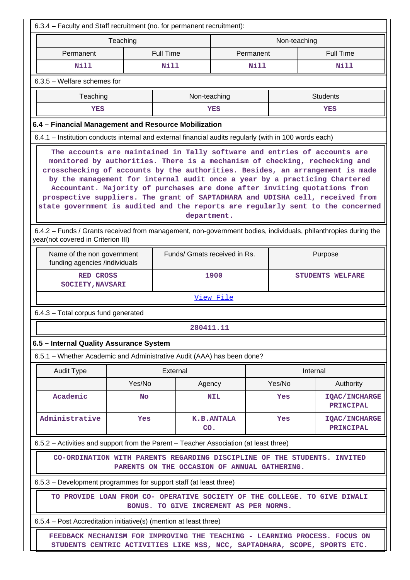| 6.3.4 - Faculty and Staff recruitment (no. for permanent recruitment):                                                                                                                                                                                                                                                                                                                                                                                                                                                                                                                 |                                                                                                                          |              |            |                         |        |                 |                                   |  |  |
|----------------------------------------------------------------------------------------------------------------------------------------------------------------------------------------------------------------------------------------------------------------------------------------------------------------------------------------------------------------------------------------------------------------------------------------------------------------------------------------------------------------------------------------------------------------------------------------|--------------------------------------------------------------------------------------------------------------------------|--------------|------------|-------------------------|--------|-----------------|-----------------------------------|--|--|
| Teaching<br>Non-teaching                                                                                                                                                                                                                                                                                                                                                                                                                                                                                                                                                               |                                                                                                                          |              |            |                         |        |                 |                                   |  |  |
| Permanent                                                                                                                                                                                                                                                                                                                                                                                                                                                                                                                                                                              | <b>Full Time</b>                                                                                                         |              |            | Permanent               |        |                 | <b>Full Time</b>                  |  |  |
| Nill                                                                                                                                                                                                                                                                                                                                                                                                                                                                                                                                                                                   |                                                                                                                          | Nill         |            | Nill                    |        |                 | Nill                              |  |  |
| 6.3.5 - Welfare schemes for                                                                                                                                                                                                                                                                                                                                                                                                                                                                                                                                                            |                                                                                                                          |              |            |                         |        |                 |                                   |  |  |
| Teaching                                                                                                                                                                                                                                                                                                                                                                                                                                                                                                                                                                               |                                                                                                                          | Non-teaching |            |                         |        | <b>Students</b> |                                   |  |  |
| YES                                                                                                                                                                                                                                                                                                                                                                                                                                                                                                                                                                                    |                                                                                                                          |              | YES        |                         |        | YES             |                                   |  |  |
| 6.4 - Financial Management and Resource Mobilization                                                                                                                                                                                                                                                                                                                                                                                                                                                                                                                                   |                                                                                                                          |              |            |                         |        |                 |                                   |  |  |
| 6.4.1 - Institution conducts internal and external financial audits regularly (with in 100 words each)                                                                                                                                                                                                                                                                                                                                                                                                                                                                                 |                                                                                                                          |              |            |                         |        |                 |                                   |  |  |
| The accounts are maintained in Tally software and entries of accounts are<br>monitored by authorities. There is a mechanism of checking, rechecking and<br>crosschecking of accounts by the authorities. Besides, an arrangement is made<br>by the management for internal audit once a year by a practicing Chartered<br>Accountant. Majority of purchases are done after inviting quotations from<br>prospective suppliers. The grant of SAPTADHARA and UDISHA cell, received from<br>state government is audited and the reports are regularly sent to the concerned<br>department. |                                                                                                                          |              |            |                         |        |                 |                                   |  |  |
| 6.4.2 - Funds / Grants received from management, non-government bodies, individuals, philanthropies during the<br>year(not covered in Criterion III)<br>Funds/ Grnats received in Rs.                                                                                                                                                                                                                                                                                                                                                                                                  |                                                                                                                          |              |            |                         |        |                 |                                   |  |  |
| funding agencies /individuals                                                                                                                                                                                                                                                                                                                                                                                                                                                                                                                                                          | Name of the non government<br>Purpose                                                                                    |              |            |                         |        |                 |                                   |  |  |
| <b>RED CROSS</b><br><b>SOCIETY, NAVSARI</b>                                                                                                                                                                                                                                                                                                                                                                                                                                                                                                                                            |                                                                                                                          |              | 1900       | <b>STUDENTS WELFARE</b> |        |                 |                                   |  |  |
|                                                                                                                                                                                                                                                                                                                                                                                                                                                                                                                                                                                        |                                                                                                                          |              | View File  |                         |        |                 |                                   |  |  |
| 6.4.3 - Total corpus fund generated                                                                                                                                                                                                                                                                                                                                                                                                                                                                                                                                                    |                                                                                                                          |              |            |                         |        |                 |                                   |  |  |
|                                                                                                                                                                                                                                                                                                                                                                                                                                                                                                                                                                                        |                                                                                                                          | 280411.11    |            |                         |        |                 |                                   |  |  |
| 6.5 - Internal Quality Assurance System                                                                                                                                                                                                                                                                                                                                                                                                                                                                                                                                                |                                                                                                                          |              |            |                         |        |                 |                                   |  |  |
| 6.5.1 - Whether Academic and Administrative Audit (AAA) has been done?                                                                                                                                                                                                                                                                                                                                                                                                                                                                                                                 |                                                                                                                          |              |            |                         |        |                 |                                   |  |  |
| <b>Audit Type</b>                                                                                                                                                                                                                                                                                                                                                                                                                                                                                                                                                                      |                                                                                                                          | External     |            |                         |        | Internal        |                                   |  |  |
|                                                                                                                                                                                                                                                                                                                                                                                                                                                                                                                                                                                        | Yes/No                                                                                                                   | Agency       |            |                         | Yes/No |                 | Authority                         |  |  |
| Academic                                                                                                                                                                                                                                                                                                                                                                                                                                                                                                                                                                               | <b>No</b>                                                                                                                |              | <b>NIL</b> |                         | Yes    |                 | <b>IQAC/INCHARGE</b><br>PRINCIPAL |  |  |
| Administrative                                                                                                                                                                                                                                                                                                                                                                                                                                                                                                                                                                         | Yes                                                                                                                      | CO.          | K.B.ANTALA |                         | Yes    |                 | <b>IQAC/INCHARGE</b><br>PRINCIPAL |  |  |
| 6.5.2 - Activities and support from the Parent - Teacher Association (at least three)                                                                                                                                                                                                                                                                                                                                                                                                                                                                                                  |                                                                                                                          |              |            |                         |        |                 |                                   |  |  |
|                                                                                                                                                                                                                                                                                                                                                                                                                                                                                                                                                                                        | CO-ORDINATION WITH PARENTS REGARDING DISCIPLINE OF THE STUDENTS. INVITED<br>PARENTS ON THE OCCASION OF ANNUAL GATHERING. |              |            |                         |        |                 |                                   |  |  |
| 6.5.3 – Development programmes for support staff (at least three)                                                                                                                                                                                                                                                                                                                                                                                                                                                                                                                      |                                                                                                                          |              |            |                         |        |                 |                                   |  |  |
| TO PROVIDE LOAN FROM CO- OPERATIVE SOCIETY OF THE COLLEGE. TO GIVE DIWALI<br>BONUS. TO GIVE INCREMENT AS PER NORMS.                                                                                                                                                                                                                                                                                                                                                                                                                                                                    |                                                                                                                          |              |            |                         |        |                 |                                   |  |  |
| 6.5.4 - Post Accreditation initiative(s) (mention at least three)                                                                                                                                                                                                                                                                                                                                                                                                                                                                                                                      |                                                                                                                          |              |            |                         |        |                 |                                   |  |  |
| FEEDBACK MECHANISM FOR IMPROVING THE TEACHING - LEARNING PROCESS. FOCUS ON<br>STUDENTS CENTRIC ACTIVITIES LIKE NSS, NCC, SAPTADHARA, SCOPE, SPORTS ETC.                                                                                                                                                                                                                                                                                                                                                                                                                                |                                                                                                                          |              |            |                         |        |                 |                                   |  |  |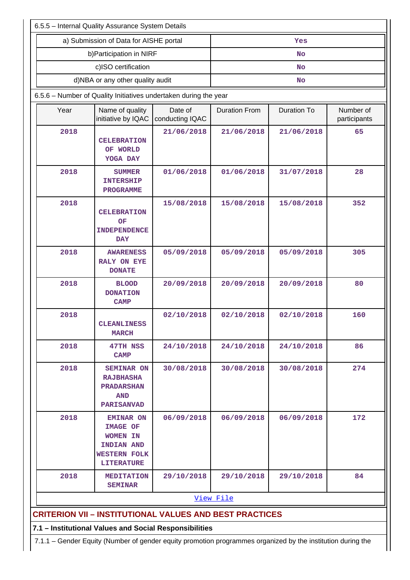|      | 6.5.5 - Internal Quality Assurance System Details                                                                |                            |                      |                    |                           |  |  |
|------|------------------------------------------------------------------------------------------------------------------|----------------------------|----------------------|--------------------|---------------------------|--|--|
|      | a) Submission of Data for AISHE portal                                                                           |                            |                      | Yes                |                           |  |  |
|      | b) Participation in NIRF                                                                                         |                            |                      | <b>No</b>          |                           |  |  |
|      | c)ISO certification                                                                                              |                            | <b>No</b>            |                    |                           |  |  |
|      | d)NBA or any other quality audit                                                                                 |                            |                      | <b>No</b>          |                           |  |  |
|      | 6.5.6 - Number of Quality Initiatives undertaken during the year                                                 |                            |                      |                    |                           |  |  |
| Year | Name of quality<br>initiative by IQAC                                                                            | Date of<br>conducting IQAC | <b>Duration From</b> | <b>Duration To</b> | Number of<br>participants |  |  |
| 2018 | <b>CELEBRATION</b><br>OF WORLD<br>YOGA DAY                                                                       | 21/06/2018                 | 21/06/2018           | 21/06/2018         | 65                        |  |  |
| 2018 | <b>SUMMER</b><br><b>INTERSHIP</b><br><b>PROGRAMME</b>                                                            | 01/06/2018                 | 01/06/2018           | 31/07/2018         | 28                        |  |  |
| 2018 | <b>CELEBRATION</b><br>OF<br><b>INDEPENDENCE</b><br><b>DAY</b>                                                    | 15/08/2018                 | 15/08/2018           | 15/08/2018         | 352                       |  |  |
| 2018 | <b>AWARENESS</b><br><b>RALY ON EYE</b><br><b>DONATE</b>                                                          | 05/09/2018                 | 05/09/2018           | 05/09/2018         | 305                       |  |  |
| 2018 | <b>BLOOD</b><br><b>DONATION</b><br><b>CAMP</b>                                                                   | 20/09/2018<br>20/09/2018   |                      | 20/09/2018         | 80                        |  |  |
| 2018 | <b>CLEANLINESS</b><br><b>MARCH</b>                                                                               | 02/10/2018                 | 02/10/2018           | 02/10/2018         | 160                       |  |  |
| 2018 | 47TH NSS<br><b>CAMP</b>                                                                                          | 24/10/2018                 | 24/10/2018           | 24/10/2018         | 86                        |  |  |
| 2018 | <b>SEMINAR ON</b><br><b>RAJBHASHA</b><br><b>PRADARSHAN</b><br><b>AND</b><br><b>PARISANVAD</b>                    | 30/08/2018                 | 30/08/2018           | 30/08/2018         | 274                       |  |  |
| 2018 | <b>EMINAR ON</b><br><b>IMAGE OF</b><br>WOMEN IN<br><b>INDIAN AND</b><br><b>WESTERN FOLK</b><br><b>LITERATURE</b> | 06/09/2018                 | 06/09/2018           | 06/09/2018         | 172                       |  |  |
| 2018 | <b>MEDITATION</b><br><b>SEMINAR</b>                                                                              | 29/10/2018                 | 29/10/2018           | 29/10/2018         | 84                        |  |  |
|      |                                                                                                                  |                            | View File            |                    |                           |  |  |
|      | <b>CRITERION VII - INSTITUTIONAL VALUES AND BEST PRACTICES</b>                                                   |                            |                      |                    |                           |  |  |
|      | 7.1 - Institutional Values and Social Responsibilities                                                           |                            |                      |                    |                           |  |  |
|      | 7.1.1 - Gender Equity (Number of gender equity promotion programmes organized by the institution during the      |                            |                      |                    |                           |  |  |

 $\mathop{\text{||}}$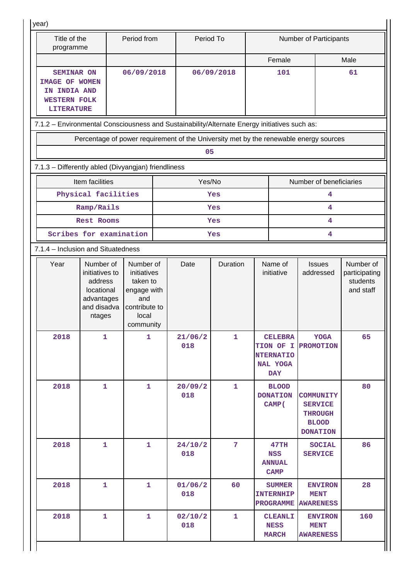| Title of the<br>programme                                                                              |                                                                                             | Period from                                                                                       | Period To                                                                             |                |     |                                                                           | <b>Number of Participants</b>                                                           |                                                     |  |
|--------------------------------------------------------------------------------------------------------|---------------------------------------------------------------------------------------------|---------------------------------------------------------------------------------------------------|---------------------------------------------------------------------------------------|----------------|-----|---------------------------------------------------------------------------|-----------------------------------------------------------------------------------------|-----------------------------------------------------|--|
|                                                                                                        |                                                                                             |                                                                                                   |                                                                                       |                |     | Female                                                                    |                                                                                         | Male                                                |  |
| <b>SEMINAR ON</b><br><b>IMAGE OF WOMEN</b><br>IN INDIA AND<br><b>WESTERN FOLK</b><br><b>LITERATURE</b> |                                                                                             | 06/09/2018                                                                                        |                                                                                       | 06/09/2018     | 101 |                                                                           |                                                                                         | 61                                                  |  |
| 7.1.2 - Environmental Consciousness and Sustainability/Alternate Energy initiatives such as:           |                                                                                             |                                                                                                   |                                                                                       |                |     |                                                                           |                                                                                         |                                                     |  |
|                                                                                                        |                                                                                             |                                                                                                   | Percentage of power requirement of the University met by the renewable energy sources |                |     |                                                                           |                                                                                         |                                                     |  |
|                                                                                                        |                                                                                             |                                                                                                   | 05                                                                                    |                |     |                                                                           |                                                                                         |                                                     |  |
|                                                                                                        | 7.1.3 - Differently abled (Divyangjan) friendliness                                         |                                                                                                   |                                                                                       |                |     |                                                                           |                                                                                         |                                                     |  |
|                                                                                                        | Item facilities                                                                             |                                                                                                   | Yes/No                                                                                |                |     |                                                                           | Number of beneficiaries                                                                 |                                                     |  |
|                                                                                                        | Physical facilities                                                                         |                                                                                                   |                                                                                       | Yes            |     |                                                                           | 4                                                                                       |                                                     |  |
|                                                                                                        | Ramp/Rails                                                                                  |                                                                                                   |                                                                                       | Yes            |     |                                                                           | 4                                                                                       |                                                     |  |
|                                                                                                        | Rest Rooms                                                                                  |                                                                                                   |                                                                                       | Yes            |     |                                                                           | 4                                                                                       |                                                     |  |
|                                                                                                        | Scribes for examination                                                                     |                                                                                                   |                                                                                       | Yes            |     |                                                                           | 4                                                                                       |                                                     |  |
|                                                                                                        | 7.1.4 - Inclusion and Situatedness                                                          |                                                                                                   |                                                                                       |                |     |                                                                           |                                                                                         |                                                     |  |
| Year                                                                                                   | Number of<br>initiatives to<br>address<br>locational<br>advantages<br>and disadva<br>ntages | Number of<br>initiatives<br>taken to<br>engage with<br>and<br>contribute to<br>local<br>community | Date                                                                                  | Duration       |     | Name of<br>initiative                                                     | <b>Issues</b><br>addressed                                                              | Number of<br>participating<br>students<br>and staff |  |
| 2018                                                                                                   | 1                                                                                           | 1                                                                                                 | 21/06/2<br>018                                                                        | $\mathbf{1}$   |     | <b>CELEBRA</b><br>TION OF I<br><b>NTERNATIO</b><br>NAL YOGA<br><b>DAY</b> | <b>YOGA</b><br><b>PROMOTION</b>                                                         | 65                                                  |  |
| 2018                                                                                                   | $\mathbf{1}$                                                                                | $\mathbf{1}$                                                                                      | 20/09/2<br>018                                                                        | $\mathbf{1}$   |     | <b>BLOOD</b><br><b>DONATION</b><br>CAMP (                                 | <b>COMMUNITY</b><br><b>SERVICE</b><br><b>THROUGH</b><br><b>BLOOD</b><br><b>DONATION</b> | 80                                                  |  |
| 2018                                                                                                   | $\mathbf{1}$                                                                                | $\mathbf{1}$                                                                                      | 24/10/2<br>018                                                                        | $\overline{7}$ |     | 47TH<br><b>NSS</b><br><b>ANNUAL</b><br><b>CAMP</b>                        | <b>SOCIAL</b><br><b>SERVICE</b>                                                         | 86                                                  |  |
| 2018                                                                                                   | $\mathbf{1}$                                                                                | $\mathbf{1}$                                                                                      | 01/06/2<br>018                                                                        | 60             |     | <b>SUMMER</b><br><b>INTERNHIP</b><br><b>PROGRAMME</b>                     | <b>ENVIRON</b><br><b>MENT</b><br><b>AWARENESS</b>                                       | 28                                                  |  |
| 2018                                                                                                   | $\mathbf{1}$                                                                                | $\mathbf{1}$                                                                                      | 02/10/2<br>018                                                                        | $\mathbf{1}$   |     | <b>CLEANLI</b><br><b>NESS</b><br><b>MARCH</b>                             | <b>ENVIRON</b><br><b>MENT</b><br><b>AWARENESS</b>                                       | 160                                                 |  |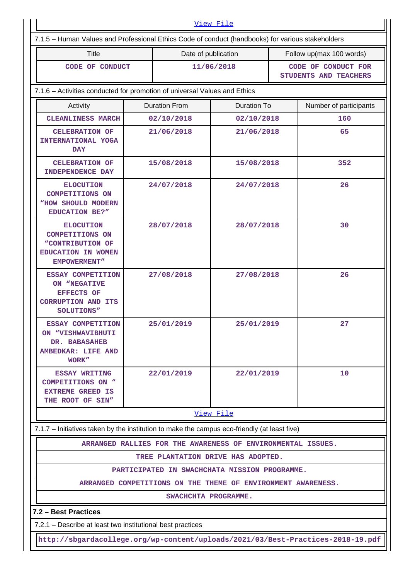| View File                                                                                            |                                                                                 |                                            |                                                              |                                              |                          |  |  |  |  |
|------------------------------------------------------------------------------------------------------|---------------------------------------------------------------------------------|--------------------------------------------|--------------------------------------------------------------|----------------------------------------------|--------------------------|--|--|--|--|
| 7.1.5 - Human Values and Professional Ethics Code of conduct (handbooks) for various stakeholders    |                                                                                 |                                            |                                                              |                                              |                          |  |  |  |  |
| <b>Title</b>                                                                                         |                                                                                 | Date of publication                        |                                                              |                                              | Follow up(max 100 words) |  |  |  |  |
| CODE OF CONDUCT                                                                                      |                                                                                 | 11/06/2018                                 |                                                              | CODE OF CONDUCT FOR<br>STUDENTS AND TEACHERS |                          |  |  |  |  |
|                                                                                                      | 7.1.6 - Activities conducted for promotion of universal Values and Ethics       |                                            |                                                              |                                              |                          |  |  |  |  |
| Activity                                                                                             |                                                                                 | <b>Duration From</b><br><b>Duration To</b> |                                                              |                                              | Number of participants   |  |  |  |  |
| <b>CLEANLINESS MARCH</b>                                                                             |                                                                                 | 02/10/2018<br>02/10/2018                   |                                                              |                                              | 160                      |  |  |  |  |
| <b>CELEBRATION OF</b><br>INTERNATIONAL YOGA<br><b>DAY</b>                                            |                                                                                 | 21/06/2018                                 | 21/06/2018                                                   |                                              | 65                       |  |  |  |  |
| <b>CELEBRATION OF</b><br><b>INDEPENDENCE DAY</b>                                                     |                                                                                 | 15/08/2018                                 | 15/08/2018                                                   |                                              | 352                      |  |  |  |  |
| <b>ELOCUTION</b><br><b>COMPETITIONS ON</b><br>"HOW SHOULD MODERN<br><b>EDUCATION BE?"</b>            |                                                                                 | 24/07/2018<br>24/07/2018                   |                                                              |                                              | 26                       |  |  |  |  |
| <b>ELOCUTION</b><br><b>COMPETITIONS ON</b><br>"CONTRIBUTION OF<br>EDUCATION IN WOMEN<br>EMPOWERMENT" |                                                                                 | 28/07/2018                                 | 28/07/2018                                                   |                                              | 30                       |  |  |  |  |
| ESSAY COMPETITION<br>ON "NEGATIVE<br><b>EFFECTS OF</b><br><b>CORRUPTION AND ITS</b><br>SOLUTIONS"    |                                                                                 | 27/08/2018<br>27/08/2018                   |                                                              |                                              | 26                       |  |  |  |  |
| ESSAY COMPETITION<br>ON "VISHWAVIBHUTI<br>DR. BABASAHEB<br><b>AMBEDKAR: LIFE AND</b><br>WORK"        |                                                                                 | 25/01/2019                                 | 25/01/2019                                                   |                                              | 27                       |  |  |  |  |
| <b>ESSAY WRITING</b><br><b>COMPETITIONS ON "</b><br><b>EXTREME GREED IS</b><br>THE ROOT OF SIN"      |                                                                                 | 22/01/2019                                 | 22/01/2019                                                   |                                              | 10                       |  |  |  |  |
|                                                                                                      |                                                                                 |                                            | View File                                                    |                                              |                          |  |  |  |  |
| 7.1.7 - Initiatives taken by the institution to make the campus eco-friendly (at least five)         |                                                                                 |                                            |                                                              |                                              |                          |  |  |  |  |
|                                                                                                      |                                                                                 |                                            | ARRANGED RALLIES FOR THE AWARENESS OF ENVIRONMENTAL ISSUES.  |                                              |                          |  |  |  |  |
|                                                                                                      |                                                                                 |                                            | TREE PLANTATION DRIVE HAS ADOPTED.                           |                                              |                          |  |  |  |  |
|                                                                                                      |                                                                                 |                                            | PARTICIPATED IN SWACHCHATA MISSION PROGRAMME.                |                                              |                          |  |  |  |  |
|                                                                                                      |                                                                                 |                                            | ARRANGED COMPETITIONS ON THE THEME OF ENVIRONMENT AWARENESS. |                                              |                          |  |  |  |  |
|                                                                                                      |                                                                                 | SWACHCHTA PROGRAMME.                       |                                                              |                                              |                          |  |  |  |  |
| 7.2 - Best Practices                                                                                 |                                                                                 |                                            |                                                              |                                              |                          |  |  |  |  |
| 7.2.1 – Describe at least two institutional best practices                                           |                                                                                 |                                            |                                                              |                                              |                          |  |  |  |  |
|                                                                                                      | http://sbgardacollege.org/wp-content/uploads/2021/03/Best-Practices-2018-19.pdf |                                            |                                                              |                                              |                          |  |  |  |  |